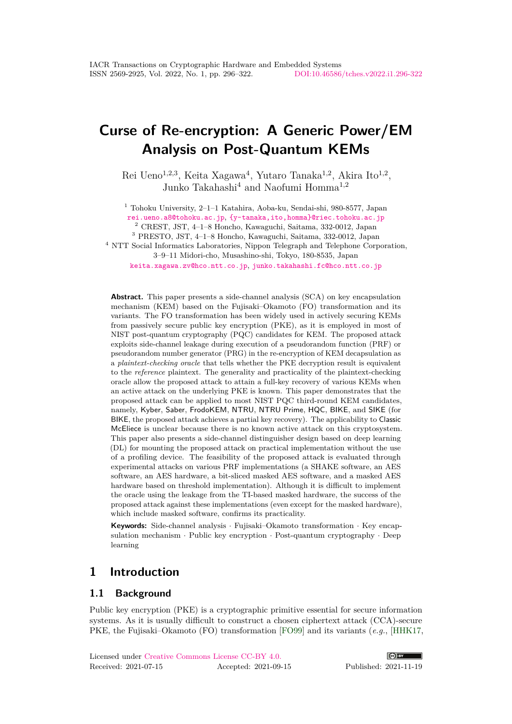# **Curse of Re-encryption: A Generic Power/EM Analysis on Post-Quantum KEMs**

Rei Ueno<sup>1,2,3</sup>, Keita Xagawa<sup>4</sup>, Yutaro Tanaka<sup>1,2</sup>, Akira Ito<sup>1,2</sup>, Junko Takahashi<sup>4</sup> and Naofumi Homma<sup>1</sup>*,*<sup>2</sup>

<sup>1</sup> Tohoku University, 2–1–1 Katahira, Aoba-ku, Sendai-shi, 980-8577, Japan

[rei.ueno.a8@tohoku.ac.jp](mailto:rei.ueno.a8@tohoku.ac.jp), [{y-tanaka,ito,homma}@riec.tohoku.ac.jp](mailto:{y-tanaka, ito, homma}@riec.tohoku.ac.jp)

 $^2$  CREST, JST, 4–1–8 Honcho, Kawaguchi, Saitama, 332-0012, Japan

<sup>3</sup> PRESTO, JST, 4–1–8 Honcho, Kawaguchi, Saitama, 332-0012, Japan

<sup>4</sup> NTT Social Informatics Laboratories, Nippon Telegraph and Telephone Corporation, 3–9–11 Midori-cho, Musashino-shi, Tokyo, 180-8535, Japan

[keita.xagawa.zv@hco.ntt.co.jp](mailto:keita.xagawa.zv@hco.ntt.co.jp), [junko.takahashi.fc@hco.ntt.co.jp](mailto:junko.takahashi.fc@hco.ntt.co.jp)

**Abstract.** This paper presents a side-channel analysis (SCA) on key encapsulation mechanism (KEM) based on the Fujisaki–Okamoto (FO) transformation and its variants. The FO transformation has been widely used in actively securing KEMs from passively secure public key encryption (PKE), as it is employed in most of NIST post-quantum cryptography (PQC) candidates for KEM. The proposed attack exploits side-channel leakage during execution of a pseudorandom function (PRF) or pseudorandom number generator (PRG) in the re-encryption of KEM decapsulation as a *plaintext-checking oracle* that tells whether the PKE decryption result is equivalent to the *reference* plaintext. The generality and practicality of the plaintext-checking oracle allow the proposed attack to attain a full-key recovery of various KEMs when an active attack on the underlying PKE is known. This paper demonstrates that the proposed attack can be applied to most NIST PQC third-round KEM candidates, namely, Kyber, Saber, FrodoKEM, NTRU, NTRU Prime, HQC, BIKE, and SIKE (for BIKE, the proposed attack achieves a partial key recovery). The applicability to Classic McEliece is unclear because there is no known active attack on this cryptosystem. This paper also presents a side-channel distinguisher design based on deep learning (DL) for mounting the proposed attack on practical implementation without the use of a profiling device. The feasibility of the proposed attack is evaluated through experimental attacks on various PRF implementations (a SHAKE software, an AES software, an AES hardware, a bit-sliced masked AES software, and a masked AES hardware based on threshold implementation). Although it is difficult to implement the oracle using the leakage from the TI-based masked hardware, the success of the proposed attack against these implementations (even except for the masked hardware), which include masked software, confirms its practicality.

**Keywords:** Side-channel analysis · Fujisaki–Okamoto transformation · Key encapsulation mechanism · Public key encryption · Post-quantum cryptography · Deep learning

# **1 Introduction**

# **1.1 Background**

Public key encryption (PKE) is a cryptographic primitive essential for secure information systems. As it is usually difficult to construct a chosen ciphertext attack (CCA)-secure PKE, the Fujisaki–Okamoto (FO) transformation [\[FO99\]](#page-22-0) and its variants (*e.g.*, [\[HHK17,](#page-22-1)

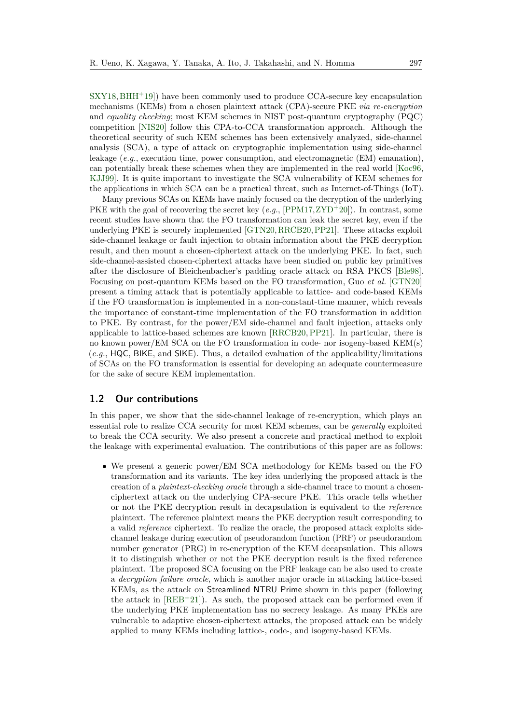$SXY18, BHH+19$  $SXY18, BHH+19$  $SXY18, BHH+19$  $SXY18, BHH+19$ ) have been commonly used to produce CCA-secure key encapsulation mechanisms (KEMs) from a chosen plaintext attack (CPA)-secure PKE *via re-encryption* and *equality checking*; most KEM schemes in NIST post-quantum cryptography (PQC) competition [\[NIS20\]](#page-24-0) follow this CPA-to-CCA transformation approach. Although the theoretical security of such KEM schemes has been extensively analyzed, side-channel analysis (SCA), a type of attack on cryptographic implementation using side-channel leakage (*e.g.*, execution time, power consumption, and electromagnetic (EM) emanation), can potentially break these schemes when they are implemented in the real world [\[Koc96,](#page-23-0) [KJJ99\]](#page-23-1). It is quite important to investigate the SCA vulnerability of KEM schemes for the applications in which SCA can be a practical threat, such as Internet-of-Things (IoT).

Many previous SCAs on KEMs have mainly focused on the decryption of the underlying PKE with the goal of recovering the secret key (*e.g.*, [\[PPM17,](#page-24-1)[ZYD](#page-26-0)<sup>+</sup>20]). In contrast, some recent studies have shown that the FO transformation can leak the secret key, even if the underlying PKE is securely implemented [\[GTN20,](#page-22-2)[RRCB20,](#page-24-2)[PP21\]](#page-24-3). These attacks exploit side-channel leakage or fault injection to obtain information about the PKE decryption result, and then mount a chosen-ciphertext attack on the underlying PKE. In fact, such side-channel-assisted chosen-ciphertext attacks have been studied on public key primitives after the disclosure of Bleichenbacher's padding oracle attack on RSA PKCS [\[Ble98\]](#page-21-1). Focusing on post-quantum KEMs based on the FO transformation, Guo *et al.* [\[GTN20\]](#page-22-2) present a timing attack that is potentially applicable to lattice- and code-based KEMs if the FO transformation is implemented in a non-constant-time manner, which reveals the importance of constant-time implementation of the FO transformation in addition to PKE. By contrast, for the power/EM side-channel and fault injection, attacks only applicable to lattice-based schemes are known [\[RRCB20,](#page-24-2)[PP21\]](#page-24-3). In particular, there is no known power/EM SCA on the FO transformation in code- nor isogeny-based KEM(s) (*e.g.*, HQC, BIKE, and SIKE). Thus, a detailed evaluation of the applicability/limitations of SCAs on the FO transformation is essential for developing an adequate countermeasure for the sake of secure KEM implementation.

### **1.2 Our contributions**

In this paper, we show that the side-channel leakage of re-encryption, which plays an essential role to realize CCA security for most KEM schemes, can be *generally* exploited to break the CCA security. We also present a concrete and practical method to exploit the leakage with experimental evaluation. The contributions of this paper are as follows:

• We present a generic power/EM SCA methodology for KEMs based on the FO transformation and its variants. The key idea underlying the proposed attack is the creation of a *plaintext-checking oracle* through a side-channel trace to mount a chosenciphertext attack on the underlying CPA-secure PKE. This oracle tells whether or not the PKE decryption result in decapsulation is equivalent to the *reference* plaintext. The reference plaintext means the PKE decryption result corresponding to a valid *reference* ciphertext. To realize the oracle, the proposed attack exploits sidechannel leakage during execution of pseudorandom function (PRF) or pseudorandom number generator (PRG) in re-encryption of the KEM decapsulation. This allows it to distinguish whether or not the PKE decryption result is the fixed reference plaintext. The proposed SCA focusing on the PRF leakage can be also used to create a *decryption failure oracle*, which is another major oracle in attacking lattice-based KEMs, as the attack on Streamlined NTRU Prime shown in this paper (following the attack in  $[REB+21]$  $[REB+21]$ . As such, the proposed attack can be performed even if the underlying PKE implementation has no secrecy leakage. As many PKEs are vulnerable to adaptive chosen-ciphertext attacks, the proposed attack can be widely applied to many KEMs including lattice-, code-, and isogeny-based KEMs.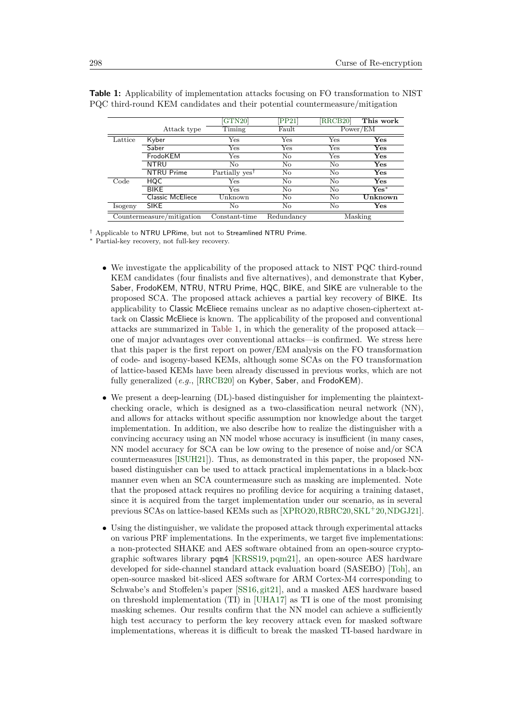|                           |                   | GTN20                      | PP <sub>21</sub> | [RRCB20]     | This work      |
|---------------------------|-------------------|----------------------------|------------------|--------------|----------------|
|                           | Attack type       | Timing                     | Fault            |              | Power/EM       |
| Lattice                   | Kyber             | $_{\rm Yes}$               | Yes              | Yes          | $\mathbf{Yes}$ |
|                           | Saber             | Yes                        | Yes              | $_{\rm Yes}$ | $\rm Yes$      |
|                           | FrodoKEM          | Yes                        | No               | Yes          | $\rm Yes$      |
|                           | <b>NTRU</b>       | No                         | No               | No           | $\rm Yes$      |
|                           | <b>NTRU Prime</b> | Partially yes <sup>†</sup> | No               | No           | $\rm Yes$      |
| Code                      | HQC               | Yes                        | No               | No           | $\rm Yes$      |
|                           | <b>BIKE</b>       | Yes                        | No               | No           | $Yes*$         |
|                           | Classic McEliece  | Unknown                    | No               | No           | Unknown        |
| Isogeny                   | <b>SIKE</b>       | No                         | No               | No           | $\rm Yes$      |
| Countermeasure/mitigation |                   | Constant-time              | Redundancy       |              | Masking        |

<span id="page-2-0"></span>**Table 1:** Applicability of implementation attacks focusing on FO transformation to NIST PQC third-round KEM candidates and their potential countermeasure/mitigation

† Applicable to NTRU LPRime, but not to Streamlined NTRU Prime.

<sup>∗</sup> Partial-key recovery, not full-key recovery.

- We investigate the applicability of the proposed attack to NIST PQC third-round KEM candidates (four finalists and five alternatives), and demonstrate that Kyber, Saber, FrodoKEM, NTRU, NTRU Prime, HQC, BIKE, and SIKE are vulnerable to the proposed SCA. The proposed attack achieves a partial key recovery of BIKE. Its applicability to Classic McEliece remains unclear as no adaptive chosen-ciphertext attack on Classic McEliece is known. The applicability of the proposed and conventional attacks are summarized in [Table 1,](#page-2-0) in which the generality of the proposed attack one of major advantages over conventional attacks—is confirmed. We stress here that this paper is the first report on power/EM analysis on the FO transformation of code- and isogeny-based KEMs, although some SCAs on the FO transformation of lattice-based KEMs have been already discussed in previous works, which are not fully generalized (*e.g.*, [\[RRCB20\]](#page-24-2) on Kyber, Saber, and FrodoKEM).
- We present a deep-learning (DL)-based distinguisher for implementing the plaintextchecking oracle, which is designed as a two-classification neural network (NN), and allows for attacks without specific assumption nor knowledge about the target implementation. In addition, we also describe how to realize the distinguisher with a convincing accuracy using an NN model whose accuracy is insufficient (in many cases, NN model accuracy for SCA can be low owing to the presence of noise and/or SCA countermeasures [\[ISUH21\]](#page-22-3)). Thus, as demonstrated in this paper, the proposed NNbased distinguisher can be used to attack practical implementations in a black-box manner even when an SCA countermeasure such as masking are implemented. Note that the proposed attack requires no profiling device for acquiring a training dataset, since it is acquired from the target implementation under our scenario, as in several previous SCAs on lattice-based KEMs such as [\[XPRO20,](#page-25-1)[RBRC20,](#page-24-5)[SKL](#page-25-2)<sup>+</sup>20[,NDGJ21\]](#page-23-2).
- Using the distinguisher, we validate the proposed attack through experimental attacks on various PRF implementations. In the experiments, we target five implementations: a non-protected SHAKE and AES software obtained from an open-source cryptographic softwares library pqm4 [\[KRSS19,](#page-23-3) [pqm21\]](#page-24-6), an open-source AES hardware developed for side-channel standard attack evaluation board (SASEBO) [\[Toh\]](#page-25-3), an open-source masked bit-sliced AES software for ARM Cortex-M4 corresponding to Schwabe's and Stoffelen's paper [\[SS16,](#page-25-4) [git21\]](#page-22-4), and a masked AES hardware based on threshold implementation (TI) in [\[UHA17\]](#page-25-5) as TI is one of the most promising masking schemes. Our results confirm that the NN model can achieve a sufficiently high test accuracy to perform the key recovery attack even for masked software implementations, whereas it is difficult to break the masked TI-based hardware in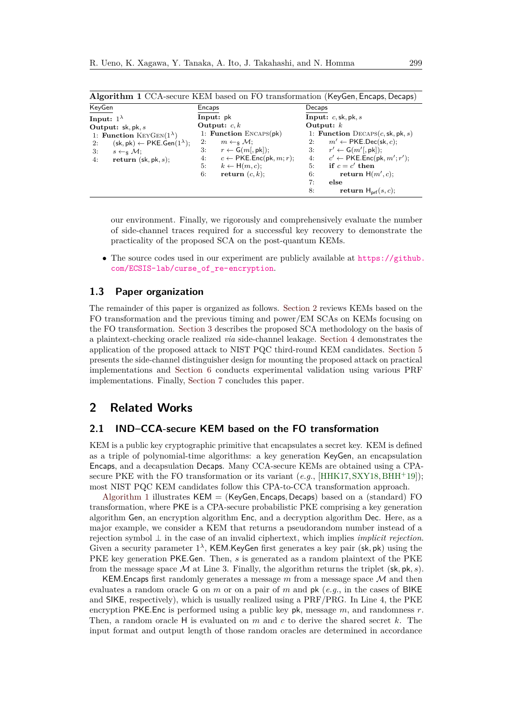<span id="page-3-1"></span>

| Algorithm 1 CCA-secure KEM based on FO transformation (KeyGen, Encaps, Decaps)        |                                                |                                                          |  |  |  |
|---------------------------------------------------------------------------------------|------------------------------------------------|----------------------------------------------------------|--|--|--|
| KeyGen                                                                                | Encaps                                         | Decaps                                                   |  |  |  |
| Input: $1^{\lambda}$                                                                  | Input: pk                                      | Input: $c$ , sk, pk, s                                   |  |  |  |
| Output: $sk, pk, s$                                                                   | Output: $c, k$                                 | Output: $k$                                              |  |  |  |
| 1: Function KEYGEN $(1^{\lambda})$                                                    | 1: Function $ENCAPS(pk)$                       | 1: Function $DecAPS(c, sk, pk, s)$                       |  |  |  |
| $(\mathsf{sk}, \mathsf{pk}) \leftarrow \mathsf{PKE}.\mathsf{Gen}(1^{\lambda});$<br>2: | $m \leftarrow_{\mathbb{S}} \mathcal{M};$<br>2: | $m' \leftarrow PKE\cdot Dec(\text{sk}, c);$<br>2:        |  |  |  |
| 3:<br>$s \leftarrow_{\mathsf{s}} \mathcal{M};$                                        | $r \leftarrow G(m[, pk]);$<br>3.               | $r' \leftarrow G(m'[, pk])$ ;<br>3:                      |  |  |  |
| return $(\mathsf{sk}, \mathsf{pk}, s)$ ;<br>4:                                        | $c \leftarrow$ PKE. Enc(pk, m; r);<br>4:       | 4: $c' \leftarrow PKE\cdot\text{Enc}(\text{pk}, m'; r';$ |  |  |  |
|                                                                                       | 5:<br>$k \leftarrow H(m, c);$                  | if $c = c'$ then<br>5:                                   |  |  |  |
|                                                                                       | return $(c, k)$ ;<br>6:                        | return $H(m', c)$ ;<br>6:                                |  |  |  |
|                                                                                       |                                                | 7:<br>else                                               |  |  |  |
|                                                                                       |                                                | return $H_{\text{prf}}(s, c)$ ;<br>8:                    |  |  |  |

our environment. Finally, we rigorously and comprehensively evaluate the number of side-channel traces required for a successful key recovery to demonstrate the practicality of the proposed SCA on the post-quantum KEMs.

• The source codes used in our experiment are publicly available at [https://github.](https://github.com/ECSIS-lab/curse_of_re-encryption) [com/ECSIS-lab/curse\\_of\\_re-encryption](https://github.com/ECSIS-lab/curse_of_re-encryption).

# **1.3 Paper organization**

The remainder of this paper is organized as follows. [Section 2](#page-3-0) reviews KEMs based on the FO transformation and the previous timing and power/EM SCAs on KEMs focusing on the FO transformation. [Section 3](#page-7-0) describes the proposed SCA methodology on the basis of a plaintext-checking oracle realized *via* side-channel leakage. [Section 4](#page-8-0) demonstrates the application of the proposed attack to NIST PQC third-round KEM candidates. [Section 5](#page-15-0) presents the side-channel distinguisher design for mounting the proposed attack on practical implementations and [Section 6](#page-16-0) conducts experimental validation using various PRF implementations. Finally, [Section 7](#page-20-0) concludes this paper.

# <span id="page-3-0"></span>**2 Related Works**

### **2.1 IND–CCA-secure KEM based on the FO transformation**

KEM is a public key cryptographic primitive that encapsulates a secret key. KEM is defined as a triple of polynomial-time algorithms: a key generation KeyGen, an encapsulation Encaps, and a decapsulation Decaps. Many CCA-secure KEMs are obtained using a CPAsecure PKE with the FO transformation or its variant (*e.g.*, [\[HHK17,](#page-22-1) [SXY18,](#page-25-0) [BHH](#page-21-0)<sup>+</sup>19]); most NIST PQC KEM candidates follow this CPA-to-CCA transformation approach.

[Algorithm 1](#page-3-1) illustrates KEM = (KeyGen*,* Encaps*,* Decaps) based on a (standard) FO transformation, where PKE is a CPA-secure probabilistic PKE comprising a key generation algorithm Gen, an encryption algorithm Enc, and a decryption algorithm Dec. Here, as a major example, we consider a KEM that returns a pseudorandom number instead of a rejection symbol ⊥ in the case of an invalid ciphertext, which implies *implicit rejection*. Given a security parameter 1 *λ* , KEM*.*KeyGen first generates a key pair (sk*,* pk) using the PKE key generation PKE*.*Gen. Then, *s* is generated as a random plaintext of the PKE from the message space  $\mathcal M$  at Line 3. Finally, the algorithm returns the triplet  $(\mathsf{sk}, \mathsf{pk}, s)$ .

KEM*.*Encaps first randomly generates a message *m* from a message space M and then evaluates a random oracle G on *m* or on a pair of *m* and pk (*e.g.*, in the cases of BIKE and SIKE, respectively), which is usually realized using a PRF/PRG. In Line 4, the PKE encryption PKE*.*Enc is performed using a public key pk, message *m*, and randomness *r*. Then, a random oracle H is evaluated on *m* and *c* to derive the shared secret *k*. The input format and output length of those random oracles are determined in accordance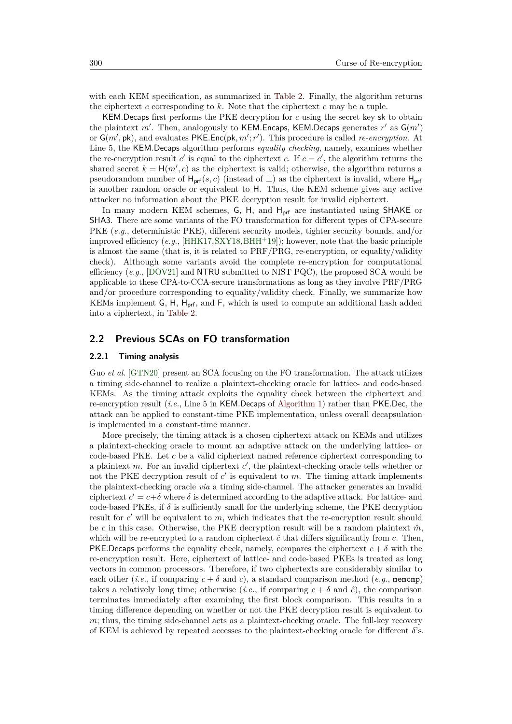with each KEM specification, as summarized in [Table 2.](#page-5-0) Finally, the algorithm returns the ciphertext *c* corresponding to *k*. Note that the ciphertext *c* may be a tuple.

KEM*.*Decaps first performs the PKE decryption for *c* using the secret key sk to obtain the plaintext  $m'$ . Then, analogously to KEM.Encaps, KEM.Decaps generates  $r'$  as  $G(m')$ or  $G(m', \mathsf{pk})$ , and evaluates PKE. Enc( $\mathsf{pk}, m'; r'$ ). This procedure is called *re-encryption*. At Line 5, the KEM*.*Decaps algorithm performs *equality checking*, namely, examines whether the re-encryption result *c*' is equal to the ciphertext *c*. If  $c = c'$ , the algorithm returns the shared secret  $k = H(m', c)$  as the ciphertext is valid; otherwise, the algorithm returns a pseudorandom number of  $H_{\text{prf}}(s, c)$  (instead of  $\perp$ ) as the ciphertext is invalid, where  $H_{\text{prf}}$ is another random oracle or equivalent to H. Thus, the KEM scheme gives any active attacker no information about the PKE decryption result for invalid ciphertext.

In many modern KEM schemes, G, H, and H<sub>prf</sub> are instantiated using SHAKE or SHA3. There are some variants of the FO transformation for different types of CPA-secure PKE (*e.g.*, deterministic PKE), different security models, tighter security bounds, and/or improved efficiency (*e.g.*, [\[HHK17,](#page-22-1)[SXY18,](#page-25-0)[BHH](#page-21-0)<sup>+</sup>19]); however, note that the basic principle is almost the same (that is, it is related to PRF/PRG, re-encryption, or equality/validity check). Although some variants avoid the complete re-encryption for computational efficiency (*e.g.*, [\[DOV21\]](#page-22-5) and NTRU submitted to NIST PQC), the proposed SCA would be applicable to these CPA-to-CCA-secure transformations as long as they involve PRF/PRG and/or procedure corresponding to equality/validity check. Finally, we summarize how KEMs implement G, H, Hprf, and F, which is used to compute an additional hash added into a ciphertext, in [Table 2.](#page-5-0)

### **2.2 Previous SCAs on FO transformation**

#### **2.2.1 Timing analysis**

Guo *et al.* [\[GTN20\]](#page-22-2) present an SCA focusing on the FO transformation. The attack utilizes a timing side-channel to realize a plaintext-checking oracle for lattice- and code-based KEMs. As the timing attack exploits the equality check between the ciphertext and re-encryption result (*i.e.*, Line 5 in KEM.Decaps of [Algorithm 1\)](#page-3-1) rather than PKE*.*Dec, the attack can be applied to constant-time PKE implementation, unless overall decapsulation is implemented in a constant-time manner.

More precisely, the timing attack is a chosen ciphertext attack on KEMs and utilizes a plaintext-checking oracle to mount an adaptive attack on the underlying lattice- or code-based PKE. Let *c* be a valid ciphertext named reference ciphertext corresponding to a plaintext  $m$ . For an invalid ciphertext  $c'$ , the plaintext-checking oracle tells whether or not the PKE decryption result of  $c'$  is equivalent to  $m$ . The timing attack implements the plaintext-checking oracle *via* a timing side-channel. The attacker generates an invalid ciphertext  $c' = c + \delta$  where  $\delta$  is determined according to the adaptive attack. For lattice- and code-based PKEs, if  $\delta$  is sufficiently small for the underlying scheme, the PKE decryption result for  $c'$  will be equivalent to  $m$ , which indicates that the re-encryption result should be *c* in this case. Otherwise, the PKE decryption result will be a random plaintext  $\hat{m}$ , which will be re-encrypted to a random ciphertext  $\hat{c}$  that differs significantly from  $c$ . Then, PKE.Decaps performs the equality check, namely, compares the ciphertext  $c + \delta$  with the re-encryption result. Here, ciphertext of lattice- and code-based PKEs is treated as long vectors in common processors. Therefore, if two ciphertexts are considerably similar to each other (*i.e.*, if comparing  $c + \delta$  and *c*), a standard comparison method (*e.g.*, memcmp) takes a relatively long time; otherwise (*i.e.*, if comparing  $c + \delta$  and  $\hat{c}$ ), the comparison terminates immediately after examining the first block comparison. This results in a timing difference depending on whether or not the PKE decryption result is equivalent to *m*; thus, the timing side-channel acts as a plaintext-checking oracle. The full-key recovery of KEM is achieved by repeated accesses to the plaintext-checking oracle for different  $\delta$ 's.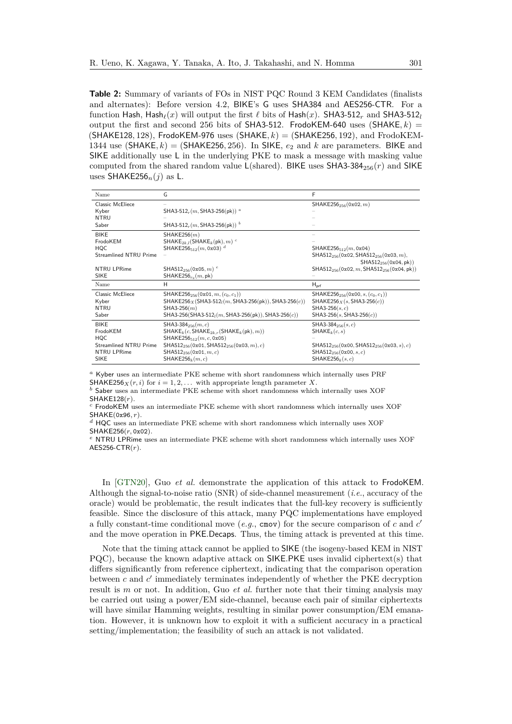<span id="page-5-0"></span>**Table 2:** Summary of variants of FOs in NIST PQC Round 3 KEM Candidates (finalists and alternates): Before version 4.2, BIKE's G uses SHA384 and AES256-CTR. For a function Hash, Hash $_{\ell}(x)$  will output the first  $\ell$  bits of Hash $(x)$ . SHA3-512*r* and SHA3-512*l* output the first and second 256 bits of SHA3-512. FrodoKEM-640 uses  $(SHAKE, k)$ (SHAKE128*,* 128), FrodoKEM-976 uses (SHAKE*, k*) = (SHAKE256*,* 192), and FrodoKEM-1344 use (SHAKE,  $k$ ) = (SHAKE256, 256). In SIKE,  $e_2$  and  $k$  are parameters. BIKE and SIKE additionally use L in the underlying PKE to mask a message with masking value computed from the shared random value  $L(\text{shared})$ . BIKE uses SHA3-384<sub>256</sub> $(r)$  and SIKE uses SHAKE256*n*(*j*) as L.

| Name                   | G                                                                 | F                                                                                         |
|------------------------|-------------------------------------------------------------------|-------------------------------------------------------------------------------------------|
| Classic McEliece       |                                                                   | SHAKE256 <sub>256</sub> (0x02, m)                                                         |
| Kyber                  | SHA3-512 $_r(m,$ SHA3-256(pk)) <sup>a</sup>                       |                                                                                           |
| <b>NTRU</b>            |                                                                   |                                                                                           |
| Saber                  | SHA3-512 <sub>r</sub> (m, SHA3-256(pk)) <sup>b</sup>              |                                                                                           |
| <b>BIKE</b>            | SHAKE256(m)                                                       |                                                                                           |
| FrodoKEM               | SHAKE <sub>2k.1</sub> (SHAKE <sub>k</sub> (pk), m) <sup>c</sup>   |                                                                                           |
| <b>HQC</b>             | SHAKE256 $_{512}(m, 0x03)^d$                                      | SHAKE256 $_{512}(m, 0x04)$                                                                |
| Streamlined NTRU Prime |                                                                   | SHA512 <sub>256</sub> (0x02, SHA512 <sub>256</sub> (0x03, m),<br>$SHA512_{256}(0x04, pk)$ |
| NTRU LPRime            | SHA512 <sub>256</sub> (0x05, m) <sup>e</sup>                      | $SHA512_{256}(0x02, m, SHA512_{256}(0x04, pk))$                                           |
| <b>SIKE</b>            | SHAKE256 $_{e_2}(m, \text{pk})$                                   |                                                                                           |
| Name                   | H                                                                 | $H_{\text{prf}}$                                                                          |
| Classic McEliece       | SHAKE256 <sub>256</sub> (0x01, m, $(c_0, c_1)$ )                  | SHAKE256 <sub>256</sub> (0x00, s, $(c_0, c_1)$ )                                          |
| Kyber                  | SHAKE256 x (SHA3-512 <sub>l</sub> (m, SHA3-256(pk)), SHA3-256(c)) | SHAKE256 $_X(s,$ SHA3-256 $(c)$ )                                                         |
| <b>NTRU</b>            | $SHA3-256(m)$                                                     | SHA3-256 $(s, c)$                                                                         |
| Saber                  | SHA3-256(SHA3-512 <sub>l</sub> (m, SHA3-256(pk)), SHA3-256(c))    | $SHA3-256(s, SHA3-256(c))$                                                                |
| <b>BIKE</b>            | SHA3-384 $_{256}(m, c)$                                           | SHA3-384 $_{256}(s, c)$                                                                   |
| FrodoKEM               | $SHAKE_k(c, SHAKE_{2k.r}(SHAKE_k(pk), m))$                        | $SHAKE_k(c, s)$                                                                           |
| <b>HQC</b>             | SHAKE256 $_{512}(m, c, 0x05)$                                     |                                                                                           |
| Streamlined NTRU Prime | SHA512 <sub>256</sub> (0x01, SHA512 <sub>256</sub> (0x03, m), c)  | SHA512 <sub>256</sub> (0x00, SHA512 <sub>256</sub> (0x03, s), c)                          |
| NTRU LPRime            | SHA512 <sub>256</sub> (0x01, $m, c$ )                             | SHA512 <sub>256</sub> (0x00, s, c)                                                        |
| <b>SIKE</b>            | SHAKE256 $_k(m, c)$                                               | SHAKE256 $_k(s, c)$                                                                       |

*<sup>a</sup>* Kyber uses an intermediate PKE scheme with short randomness which internally uses PRF

SHAKE256<sub>*X*</sub>( $r$ , *i*) for  $i = 1, 2, \ldots$  with appropriate length parameter *X*.

*<sup>b</sup>* Saber uses an intermediate PKE scheme with short randomness which internally uses XOF SHAKE128(*r*).

*<sup>c</sup>* FrodoKEM uses an intermediate PKE scheme with short randomness which internally uses XOF SHAKE(0x96*, r*).

*<sup>d</sup>* HQC uses an intermediate PKE scheme with short randomness which internally uses XOF SHAKE256(*r,* 0x02).

*<sup>e</sup>* NTRU LPRime uses an intermediate PKE scheme with short randomness which internally uses XOF AES256-CTR(*r*).

In [\[GTN20\]](#page-22-2), Guo *et al.* demonstrate the application of this attack to FrodoKEM. Although the signal-to-noise ratio (SNR) of side-channel measurement (*i.e.*, accuracy of the oracle) would be problematic, the result indicates that the full-key recovery is sufficiently feasible. Since the disclosure of this attack, many PQC implementations have employed a fully constant-time conditional move (*e.g.*, cmov) for the secure comparison of *c* and *c*<sup>'</sup> and the move operation in PKE*.*Decaps. Thus, the timing attack is prevented at this time.

Note that the timing attack cannot be applied to SIKE (the isogeny-based KEM in NIST PQC), because the known adaptive attack on SIKE.PKE uses invalid ciphertext(s) that differs significantly from reference ciphertext, indicating that the comparison operation between  $c$  and  $c'$  immediately terminates independently of whether the PKE decryption result is *m* or not. In addition, Guo *et al.* further note that their timing analysis may be carried out using a power/EM side-channel, because each pair of similar ciphertexts will have similar Hamming weights, resulting in similar power consumption/EM emanation. However, it is unknown how to exploit it with a sufficient accuracy in a practical setting/implementation; the feasibility of such an attack is not validated.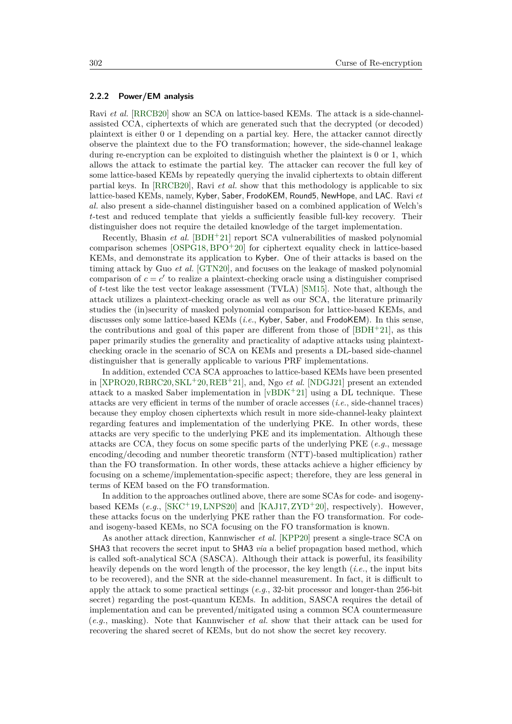#### **2.2.2 Power/EM analysis**

Ravi *et al.* [\[RRCB20\]](#page-24-2) show an SCA on lattice-based KEMs. The attack is a side-channelassisted CCA, ciphertexts of which are generated such that the decrypted (or decoded) plaintext is either 0 or 1 depending on a partial key. Here, the attacker cannot directly observe the plaintext due to the FO transformation; however, the side-channel leakage during re-encryption can be exploited to distinguish whether the plaintext is 0 or 1, which allows the attack to estimate the partial key. The attacker can recover the full key of some lattice-based KEMs by repeatedly querying the invalid ciphertexts to obtain different partial keys. In [\[RRCB20\]](#page-24-2), Ravi *et al.* show that this methodology is applicable to six lattice-based KEMs, namely, Kyber, Saber, FrodoKEM, Round5, NewHope, and LAC. Ravi *et al.* also present a side-channel distinguisher based on a combined application of Welch's *t*-test and reduced template that yields a sufficiently feasible full-key recovery. Their distinguisher does not require the detailed knowledge of the target implementation.

Recently, Bhasin *et al.* [\[BDH](#page-21-2)<sup>+</sup>21] report SCA vulnerabilities of masked polynomial comparison schemes  $[OSPG18, BPO+20]$  $[OSPG18, BPO+20]$  $[OSPG18, BPO+20]$  $[OSPG18, BPO+20]$  for ciphertext equality check in lattice-based KEMs, and demonstrate its application to Kyber. One of their attacks is based on the timing attack by Guo *et al.* [\[GTN20\]](#page-22-2), and focuses on the leakage of masked polynomial comparison of  $c = c'$  to realize a plaintext-checking oracle using a distinguisher comprised of *t*-test like the test vector leakage assessment (TVLA) [\[SM15\]](#page-25-6). Note that, although the attack utilizes a plaintext-checking oracle as well as our SCA, the literature primarily studies the (in)security of masked polynomial comparison for lattice-based KEMs, and discusses only some lattice-based KEMs (*i.e.*, Kyber, Saber, and FrodoKEM). In this sense, the contributions and goal of this paper are different from those of  $[BDH^+21]$  $[BDH^+21]$ , as this paper primarily studies the generality and practicality of adaptive attacks using plaintextchecking oracle in the scenario of SCA on KEMs and presents a DL-based side-channel distinguisher that is generally applicable to various PRF implementations.

In addition, extended CCA SCA approaches to lattice-based KEMs have been presented in [\[XPRO20,](#page-25-1)[RBRC20,](#page-24-5)[SKL](#page-25-2)<sup>+</sup>20[,REB](#page-24-4)<sup>+</sup>21], and, Ngo *et al.* [\[NDGJ21\]](#page-23-2) present an extended attack to a masked Saber implementation in  $[vBDK^+21]$  $[vBDK^+21]$  using a DL technique. These attacks are very efficient in terms of the number of oracle accesses (*i.e.*, side-channel traces) because they employ chosen ciphertexts which result in more side-channel-leaky plaintext regarding features and implementation of the underlying PKE. In other words, these attacks are very specific to the underlying PKE and its implementation. Although these attacks are CCA, they focus on some specific parts of the underlying PKE (*e.g.*, message encoding/decoding and number theoretic transform (NTT)-based multiplication) rather than the FO transformation. In other words, these attacks achieve a higher efficiency by focusing on a scheme/implementation-specific aspect; therefore, they are less general in terms of KEM based on the FO transformation.

In addition to the approaches outlined above, there are some SCAs for code- and isogenybased KEMs  $(e.g.,$  [\[SKC](#page-24-8)<sup>+</sup>19, [LNPS20\]](#page-23-4) and [\[KAJ17,](#page-23-5) [ZYD](#page-26-0)<sup>+</sup>20], respectively). However, these attacks focus on the underlying PKE rather than the FO transformation. For codeand isogeny-based KEMs, no SCA focusing on the FO transformation is known.

As another attack direction, Kannwischer *et al.* [\[KPP20\]](#page-23-6) present a single-trace SCA on SHA3 that recovers the secret input to SHA3 *via* a belief propagation based method, which is called soft-analytical SCA (SASCA). Although their attack is powerful, its feasibility heavily depends on the word length of the processor, the key length (*i.e.*, the input bits to be recovered), and the SNR at the side-channel measurement. In fact, it is difficult to apply the attack to some practical settings (*e.g.*, 32-bit processor and longer-than 256-bit secret) regarding the post-quantum KEMs. In addition, SASCA requires the detail of implementation and can be prevented/mitigated using a common SCA countermeasure (*e.g.*, masking). Note that Kannwischer *et al.* show that their attack can be used for recovering the shared secret of KEMs, but do not show the secret key recovery.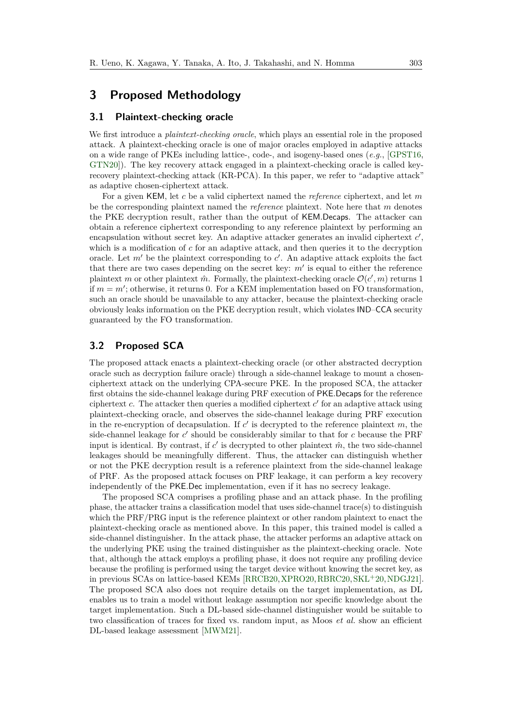# <span id="page-7-0"></span>**3 Proposed Methodology**

### **3.1 Plaintext-checking oracle**

We first introduce a *plaintext-checking oracle*, which plays an essential role in the proposed attack. A plaintext-checking oracle is one of major oracles employed in adaptive attacks on a wide range of PKEs including lattice-, code-, and isogeny-based ones (*e.g.*, [\[GPST16,](#page-22-6) [GTN20\]](#page-22-2)). The key recovery attack engaged in a plaintext-checking oracle is called keyrecovery plaintext-checking attack (KR-PCA). In this paper, we refer to "adaptive attack" as adaptive chosen-ciphertext attack.

For a given KEM, let *c* be a valid ciphertext named the *reference* ciphertext, and let *m* be the corresponding plaintext named the *reference* plaintext. Note here that *m* denotes the PKE decryption result, rather than the output of KEM*.*Decaps. The attacker can obtain a reference ciphertext corresponding to any reference plaintext by performing an encapsulation without secret key. An adaptive attacker generates an invalid ciphertext  $c'$ , which is a modification of *c* for an adaptive attack, and then queries it to the decryption oracle. Let  $m'$  be the plaintext corresponding to  $c'$ . An adaptive attack exploits the fact that there are two cases depending on the secret key:  $m'$  is equal to either the reference plaintext *m* or other plaintext  $\hat{m}$ . Formally, the plaintext-checking oracle  $\mathcal{O}(c', m)$  returns 1 if  $m = m'$ ; otherwise, it returns 0. For a KEM implementation based on FO transformation, such an oracle should be unavailable to any attacker, because the plaintext-checking oracle obviously leaks information on the PKE decryption result, which violates IND–CCA security guaranteed by the FO transformation.

# **3.2 Proposed SCA**

The proposed attack enacts a plaintext-checking oracle (or other abstracted decryption oracle such as decryption failure oracle) through a side-channel leakage to mount a chosenciphertext attack on the underlying CPA-secure PKE. In the proposed SCA, the attacker first obtains the side-channel leakage during PRF execution of PKE*.*Decaps for the reference ciphertext  $c$ . The attacker then queries a modified ciphertext  $c'$  for an adaptive attack using plaintext-checking oracle, and observes the side-channel leakage during PRF execution in the re-encryption of decapsulation. If  $c'$  is decrypted to the reference plaintext  $m$ , the side-channel leakage for  $c'$  should be considerably similar to that for  $c$  because the PRF input is identical. By contrast, if  $c'$  is decrypted to other plaintext  $\hat{m}$ , the two side-channel leakages should be meaningfully different. Thus, the attacker can distinguish whether or not the PKE decryption result is a reference plaintext from the side-channel leakage of PRF. As the proposed attack focuses on PRF leakage, it can perform a key recovery independently of the PKE*.*Dec implementation, even if it has no secrecy leakage.

The proposed SCA comprises a profiling phase and an attack phase. In the profiling phase, the attacker trains a classification model that uses side-channel trace(s) to distinguish which the PRF/PRG input is the reference plaintext or other random plaintext to enact the plaintext-checking oracle as mentioned above. In this paper, this trained model is called a side-channel distinguisher. In the attack phase, the attacker performs an adaptive attack on the underlying PKE using the trained distinguisher as the plaintext-checking oracle. Note that, although the attack employs a profiling phase, it does not require any profiling device because the profiling is performed using the target device without knowing the secret key, as in previous SCAs on lattice-based KEMs [\[RRCB20,](#page-24-2) [XPRO20,](#page-25-1) [RBRC20,](#page-24-5) [SKL](#page-25-2)<sup>+</sup>20, NDGJ21]. The proposed SCA also does not require details on the target implementation, as DL enables us to train a model without leakage assumption nor specific knowledge about the target implementation. Such a DL-based side-channel distinguisher would be suitable to two classification of traces for fixed vs. random input, as Moos *et al.* show an efficient DL-based leakage assessment [\[MWM21\]](#page-23-7).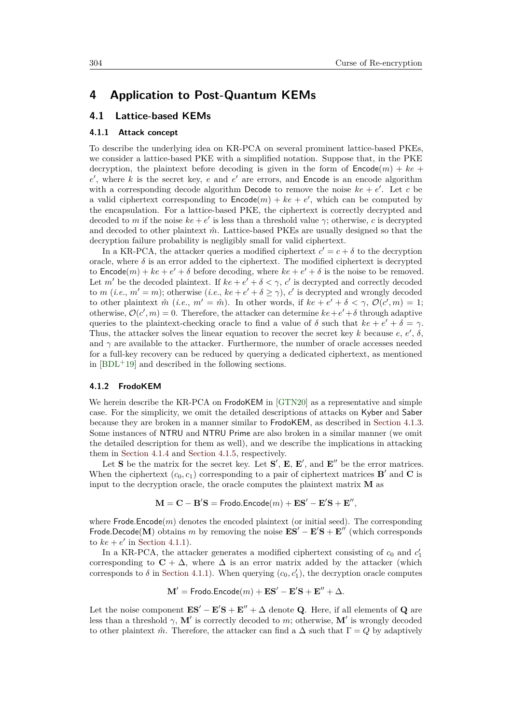# <span id="page-8-0"></span>**4 Application to Post-Quantum KEMs**

### **4.1 Lattice-based KEMs**

#### <span id="page-8-1"></span>**4.1.1 Attack concept**

To describe the underlying idea on KR-PCA on several prominent lattice-based PKEs, we consider a lattice-based PKE with a simplified notation. Suppose that, in the PKE decryption, the plaintext before decoding is given in the form of  $\text{Encode}(m) + ke +$  $e'$ , where  $k$  is the secret key,  $e$  and  $e'$  are errors, and Encode is an encode algorithm with a corresponding decode algorithm Decode to remove the noise  $ke + e'$ . Let *c* be a valid ciphertext corresponding to  $\textsf{Encode}(m) + ke + e'$ , which can be computed by the encapsulation. For a lattice-based PKE, the ciphertext is correctly decrypted and decoded to *m* if the noise  $ke + e'$  is less than a threshold value  $\gamma$ ; otherwise, *c* is decrypted and decoded to other plaintext  $\hat{m}$ . Lattice-based PKEs are usually designed so that the decryption failure probability is negligibly small for valid ciphertext.

In a KR-PCA, the attacker queries a modified ciphertext  $c' = c + \delta$  to the decryption oracle, where  $\delta$  is an error added to the ciphertext. The modified ciphertext is decrypted to  $\textsf{Encode}(m) + ke + e' + \delta$  before decoding, where  $ke + e' + \delta$  is the noise to be removed. Let *m'* be the decoded plaintext. If  $ke + e' + \delta < \gamma$ , *c'* is decrypted and correctly decoded to *m* (*i.e.*,  $m' = m$ ); otherwise (*i.e.*,  $ke + e' + \delta \ge \gamma$ ), *c*' is decrypted and wrongly decoded to other plaintext  $\hat{m}$  (*i.e.*,  $m' = \hat{m}$ ). In other words, if  $ke + e' + \delta < \gamma$ ,  $\mathcal{O}(c', m) = 1$ ; otherwise,  $\mathcal{O}(c', m) = 0$ . Therefore, the attacker can determine  $ke + e' + \delta$  through adaptive queries to the plaintext-checking oracle to find a value of  $\delta$  such that  $ke + e' + \delta = \gamma$ . Thus, the attacker solves the linear equation to recover the secret key *k* because  $e, e', \delta$ , and  $\gamma$  are available to the attacker. Furthermore, the number of oracle accesses needed for a full-key recovery can be reduced by querying a dedicated ciphertext, as mentioned in  $[BDL+19]$  $[BDL+19]$  and described in the following sections.

#### **4.1.2 FrodoKEM**

We herein describe the KR-PCA on FrodoKEM in [\[GTN20\]](#page-22-2) as a representative and simple case. For the simplicity, we omit the detailed descriptions of attacks on Kyber and Saber because they are broken in a manner similar to FrodoKEM, as described in [Section 4.1.3.](#page-10-0) Some instances of NTRU and NTRU Prime are also broken in a similar manner (we omit the detailed description for them as well), and we describe the implications in attacking them in [Section 4.1.4](#page-10-1) and [Section 4.1.5,](#page-10-2) respectively.

Let **S** be the matrix for the secret key. Let  $S'$ ,  $E$ ,  $E'$ , and  $E''$  be the error matrices. When the ciphertext  $(c_0, c_1)$  corresponding to a pair of ciphertext matrices **B**<sup>'</sup> and **C** is input to the decryption oracle, the oracle computes the plaintext matrix **M** as

$$
\mathbf{M} = \mathbf{C} - \mathbf{B}'\mathbf{S} = \mathsf{Frodo}.\mathsf{Encode}(m) + \mathbf{ES}' - \mathbf{E}'\mathbf{S} + \mathbf{E}'',
$$

where  $Frode_Ecom$  denotes the encoded plaintext (or initial seed). The corresponding Frode.Decode(M) obtains *m* by removing the noise  $\mathbf{E}\mathbf{S}' - \mathbf{E}'\mathbf{S} + \mathbf{E}''$  (which corresponds to  $ke + e'$  in [Section 4.1.1\)](#page-8-1).

In a KR-PCA, the attacker generates a modified ciphertext consisting of  $c_0$  and  $c'_1$ corresponding to  $C + \Delta$ , where  $\Delta$  is an error matrix added by the attacker (which corresponds to  $\delta$  in [Section 4.1.1\)](#page-8-1). When querying  $(c_0, c'_1)$ , the decryption oracle computes

$$
\mathbf{M}' = \mathsf{Frodo}.\mathsf{Encode}(m) + \mathbf{ES}' - \mathbf{E}'\mathbf{S} + \mathbf{E}'' + \Delta.
$$

Let the noise component  $\mathbf{E}\mathbf{S}' - \mathbf{E}'\mathbf{S} + \mathbf{E}'' + \Delta$  denote **Q**. Here, if all elements of **Q** are less than a threshold  $\gamma$ , **M**<sup> $\prime$ </sup> is correctly decoded to *m*; otherwise, **M**<sup> $\prime$ </sup> is wrongly decoded to other plaintext  $\hat{m}$ . Therefore, the attacker can find a  $\Delta$  such that  $\Gamma = Q$  by adaptively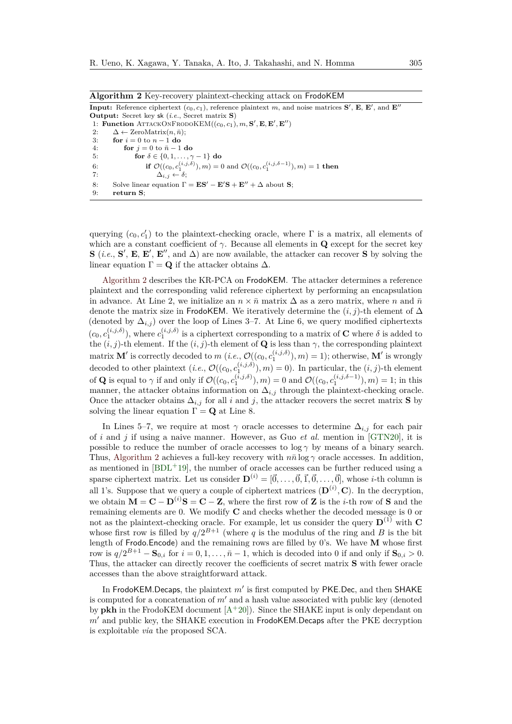<span id="page-9-0"></span>

| <b>Algorithm 2</b> Key-recovery plaintext-checking attack on FrodoKEM                                                                         |
|-----------------------------------------------------------------------------------------------------------------------------------------------|
| <b>Input:</b> Reference ciphertext $(c_0, c_1)$ , reference plaintext m, and noise matrices <b>S'</b> , <b>E</b> , <b>E'</b> , and <b>E''</b> |
| <b>Output:</b> Secret key sk ( <i>i.e.</i> , Secret matrix $S$ )                                                                              |
| 1: Function ATTACKONFRODOKEM $((c_0, c_1), m, S', E, E', E'')$                                                                                |
| $\Delta \leftarrow$ ZeroMatrix $(n, \bar{n})$ ;<br>2:                                                                                         |
| for $i=0$ to $n-1$ do<br>3:                                                                                                                   |
| 4:<br>for $i = 0$ to $\bar{n} - 1$ do                                                                                                         |
| for $\delta \in \{0, 1, \ldots, \gamma - 1\}$ do<br>5.                                                                                        |
| if $\mathcal{O}((c_0, c_1^{(i,j,\delta)}), m) = 0$ and $\mathcal{O}((c_0, c_1^{(i,j,\delta-1)}), m) = 1$ then<br>6:                           |
| $\Delta_{i,i} \leftarrow \delta$ ;<br>-7:                                                                                                     |
| Solve linear equation $\Gamma = ES' - E'S + E'' + \Delta$ about S;<br>8:                                                                      |
| 9:<br>return S:                                                                                                                               |

querying  $(c_0, c'_1)$  to the plaintext-checking oracle, where  $\Gamma$  is a matrix, all elements of which are a constant coefficient of  $\gamma$ . Because all elements in **Q** except for the secret key **S** (*i.e.*, **S**<sup>'</sup>, **E**, **E**<sup>'</sup>, **E**<sup>''</sup>, and  $\Delta$ ) are now available, the attacker can recover **S** by solving the linear equation  $\Gamma = \mathbf{Q}$  if the attacker obtains  $\Delta$ .

[Algorithm 2](#page-9-0) describes the KR-PCA on FrodoKEM. The attacker determines a reference plaintext and the corresponding valid reference ciphertext by performing an encapsulation in advance. At Line 2, we initialize an  $n \times \bar{n}$  matrix  $\Delta$  as a zero matrix, where *n* and  $\bar{n}$ denote the matrix size in FrodoKEM. We iteratively determine the  $(i, j)$ -th element of  $\Delta$ (denoted by  $\Delta_{i,j}$ ) over the loop of Lines 3–7. At Line 6, we query modified ciphertexts  $(c_0, c_1^{(i,j,\delta)})$ , where  $c_1^{(i,j,\delta)}$  is a ciphertext corresponding to a matrix of **C** where  $\delta$  is added to the  $(i, j)$ -th element. If the  $(i, j)$ -th element of **Q** is less than  $\gamma$ , the corresponding plaintext matrix  $\mathbf{M}'$  is correctly decoded to  $m$  (*i.e.*,  $\mathcal{O}((c_0, c_1^{(i,j,\delta)}), m) = 1$ ); otherwise,  $\mathbf{M}'$  is wrongly decoded to other plaintext  $(i.e., \mathcal{O}((c_0, c_1^{(i,j,\delta)}), m) = 0)$ . In particular, the  $(i, j)$ -th element of **Q** is equal to  $\gamma$  if and only if  $\mathcal{O}((c_0, c_1^{(i,j,\delta)}), m) = 0$  and  $\mathcal{O}((c_0, c_1^{(i,j,\delta-1)}), m) = 1$ ; in this manner, the attacker obtains information on  $\Delta_{i,j}$  through the plaintext-checking oracle. Once the attacker obtains  $\Delta_{i,j}$  for all *i* and *j*, the attacker recovers the secret matrix **S** by solving the linear equation  $\Gamma = \mathbf{Q}$  at Line 8.

In Lines 5–7, we require at most  $\gamma$  oracle accesses to determine  $\Delta_{i,j}$  for each pair of *i* and *j* if using a naive manner. However, as Guo *et al.* mention in [\[GTN20\]](#page-22-2), it is possible to reduce the number of oracle accesses to  $\log \gamma$  by means of a binary search. Thus, [Algorithm 2](#page-9-0) achieves a full-key recovery with  $n\bar{n} \log \gamma$  oracle accesses. In addition, as mentioned in  $[BDL^+19]$  $[BDL^+19]$ , the number of oracle accesses can be further reduced using a sparse ciphertext matrix. Let us consider  $\mathbf{D}^{(i)} = [\vec{0}, \dots, \vec{0}, \vec{1}, \vec{0}, \dots, \vec{0}]$ , whose *i*-th column is all 1's. Suppose that we query a couple of ciphertext matrices  $(D^{(i)}, C)$ . In the decryption, we obtain  $\mathbf{M} = \mathbf{C} - \mathbf{D}^{(i)}\mathbf{S} = \mathbf{C} - \mathbf{Z}$ , where the first row of **Z** is the *i*-th row of **S** and the remaining elements are 0. We modify **C** and checks whether the decoded message is 0 or not as the plaintext-checking oracle. For example, let us consider the query  $\mathbf{D}^{(1)}$  with **C** whose first row is filled by  $q/2^{B+1}$  (where q is the modulus of the ring and B is the bit length of Frodo*.*Encode) and the remaining rows are filled by 0's. We have **M** whose first row is  $q/2^{B+1} - \mathbf{S}_{0,i}$  for  $i = 0, 1, \ldots, \bar{n} - 1$ , which is decoded into 0 if and only if  $\mathbf{S}_{0,i} > 0$ . Thus, the attacker can directly recover the coefficients of secret matrix **S** with fewer oracle accesses than the above straightforward attack.

In FrodoKEM.Decaps, the plaintext  $m'$  is first computed by PKE.Dec, and then SHAKE is computed for a concatenation of  $m'$  and a hash value associated with public key (denoted by **pkh** in the FrodoKEM document  $[A+20]$  $[A+20]$ . Since the SHAKE input is only dependant on *m*<sup> $\prime$ </sup> and public key, the SHAKE execution in FrodoKEM. Decaps after the PKE decryption is exploitable *via* the proposed SCA.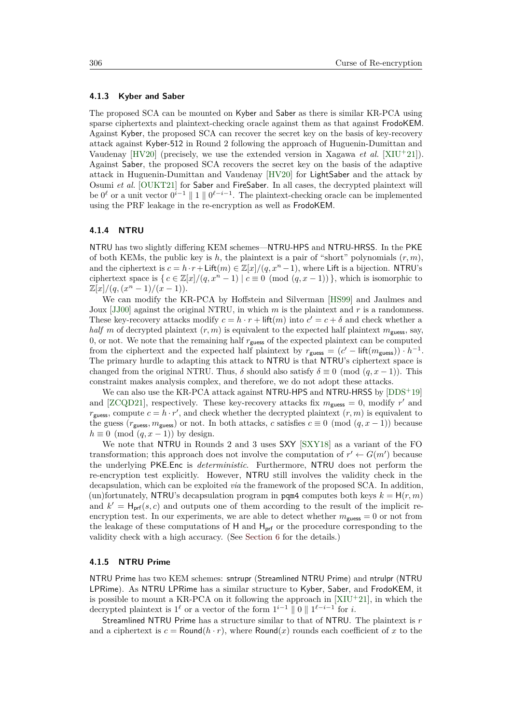#### <span id="page-10-0"></span>**4.1.3 Kyber and Saber**

The proposed SCA can be mounted on Kyber and Saber as there is similar KR-PCA using sparse ciphertexts and plaintext-checking oracle against them as that against FrodoKEM. Against Kyber, the proposed SCA can recover the secret key on the basis of key-recovery attack against Kyber-512 in Round 2 following the approach of Huguenin-Dumittan and Vaudenay [\[HV20\]](#page-22-7) (precisely, we use the extended version in Xagawa *et al.* [\[XIU](#page-25-8)<sup>+</sup>21]). Against Saber, the proposed SCA recovers the secret key on the basis of the adaptive attack in Huguenin-Dumittan and Vaudenay [\[HV20\]](#page-22-7) for LightSaber and the attack by Osumi *et al.* [\[OUKT21\]](#page-24-9) for Saber and FireSaber. In all cases, the decrypted plaintext will be  $0^{\ell}$  or a unit vector  $0^{i-1} \parallel 1 \parallel 0^{\ell-i-1}$ . The plaintext-checking oracle can be implemented using the PRF leakage in the re-encryption as well as FrodoKEM.

#### <span id="page-10-1"></span>**4.1.4 NTRU**

NTRU has two slightly differing KEM schemes—NTRU-HPS and NTRU-HRSS. In the PKE of both KEMs, the public key is *h*, the plaintext is a pair of "short" polynomials (*r, m*), and the ciphertext is  $c = h \cdot r + \text{Lift}(m) \in \mathbb{Z}[x]/(q, x^n - 1)$ , where Lift is a bijection. NTRU's ciphertext space is  $\{c \in \mathbb{Z}[x]/(q, x^n - 1) \mid c \equiv 0 \pmod{(q, x - 1)}\}$ , which is isomorphic to  $\mathbb{Z}[x]/(q,(x^n-1)/(x-1)).$ 

We can modify the KR-PCA by Hoffstein and Silverman [\[HS99\]](#page-22-8) and Jaulmes and Joux [\[JJ00\]](#page-23-8) against the original NTRU, in which *m* is the plaintext and *r* is a randomness. These key-recovery attacks modify  $c = h \cdot r + \text{lift}(m)$  into  $c' = c + \delta$  and check whether a *half m* of decrypted plaintext  $(r, m)$  is equivalent to the expected half plaintext  $m_{\text{guess}}$ , say, 0, or not. We note that the remaining half  $r_{\text{guess}}$  of the expected plaintext can be computed from the ciphertext and the expected half plaintext by  $r_{\text{guess}} = (c' - \text{lift}(m_{\text{guess}})) \cdot h^{-1}$ . The primary hurdle to adapting this attack to NTRU is that NTRU's ciphertext space is changed from the original NTRU. Thus,  $\delta$  should also satisfy  $\delta \equiv 0 \pmod{(q, x - 1)}$ . This constraint makes analysis complex, and therefore, we do not adopt these attacks.

We can also use the KR-PCA attack against NTRU-HPS and NTRU-HRSS by  $[DDS^+19]$  $[DDS^+19]$ and [\[ZCQD21\]](#page-26-1), respectively. These key-recovery attacks fix  $m_{\text{guess}} = 0$ , modify  $r'$  and  $r_{\text{guess}}$ , compute  $c = h \cdot r'$ , and check whether the decrypted plaintext  $(r, m)$  is equivalent to the guess ( $r_{\text{guess}}$ ,  $m_{\text{guess}}$ ) or not. In both attacks, *c* satisfies  $c \equiv 0 \pmod{(q, x - 1)}$  because  $h \equiv 0 \pmod{(q, x - 1)}$  by design.

We note that NTRU in Rounds 2 and 3 uses SXY [\[SXY18\]](#page-25-0) as a variant of the FO transformation; this approach does not involve the computation of  $r' \leftarrow G(m')$  because the underlying PKE*.*Enc is *deterministic*. Furthermore, NTRU does not perform the re-encryption test explicitly. However, NTRU still involves the validity check in the decapsulation, which can be exploited *via* the framework of the proposed SCA. In addition, (un)fortunately, NTRU's decapsulation program in pqm4 computes both keys  $k = H(r, m)$ and  $k' = H<sub>prf</sub>(s, c)$  and outputs one of them according to the result of the implicit reencryption test. In our experiments, we are able to detect whether  $m_{\text{guess}} = 0$  or not from the leakage of these computations of  $H$  and  $H_{\text{prf}}$  or the procedure corresponding to the validity check with a high accuracy. (See [Section 6](#page-16-0) for the details.)

#### <span id="page-10-2"></span>**4.1.5 NTRU Prime**

NTRU Prime has two KEM schemes: sntrupr (Streamlined NTRU Prime) and ntrulpr (NTRU LPRime). As NTRU LPRime has a similar structure to Kyber, Saber, and FrodoKEM, it is possible to mount a KR-PCA on it following the approach in  $[XIU^+21]$  $[XIU^+21]$ , in which the decrypted plaintext is  $1^{\ell}$  or a vector of the form  $1^{i-1} \parallel 0 \parallel 1^{\ell-i-1}$  for *i*.

Streamlined NTRU Prime has a structure similar to that of NTRU. The plaintext is *r* and a ciphertext is  $c = \text{Round}(h \cdot r)$ , where  $\text{Round}(x)$  rounds each coefficient of x to the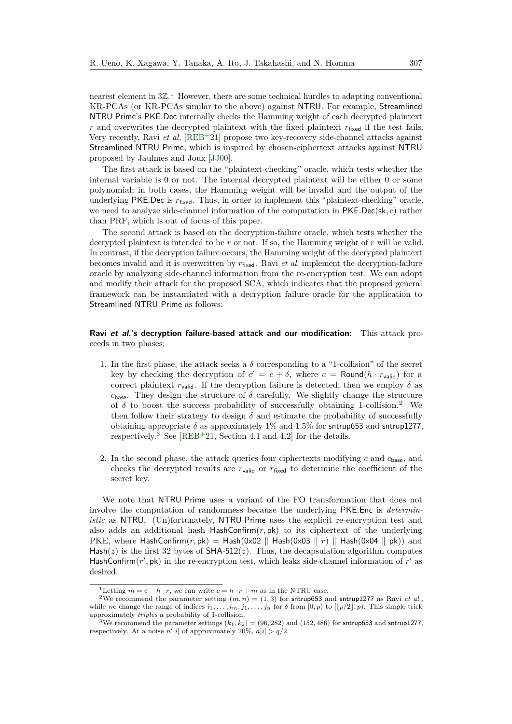nearest element in  $3\mathbb{Z}$ .<sup>[1](#page-11-0)</sup> However, there are some technical hurdles to adapting conventional KR-PCAs (or KR-PCAs similar to the above) against NTRU. For example, Streamlined NTRU Prime's PKE*.*Dec internally checks the Hamming weight of each decrypted plaintext  $r$  and overwrites the decrypted plaintext with the fixed plaintext  $r_{\text{fixed}}$  if the test fails. Very recently, Ravi *et al.* [\[REB](#page-24-4)<sup>+</sup>21] propose two key-recovery side-channel attacks against Streamlined NTRU Prime, which is inspired by chosen-ciphertext attacks against NTRU proposed by Jaulmes and Joux [\[JJ00\]](#page-23-8).

The first attack is based on the "plaintext-checking" oracle, which tests whether the internal variable is 0 or not. The internal decrypted plaintext will be either 0 or some polynomial; in both cases, the Hamming weight will be invalid and the output of the underlying PKE.Dec is  $r_{fixed}$ . Thus, in order to implement this "plaintext-checking" oracle, we need to analyze side-channel information of the computation in PKE*.*Dec(sk*, c*) rather than PRF, which is out of focus of this paper.

The second attack is based on the decryption-failure oracle, which tests whether the decrypted plaintext is intended to be *r* or not. If so, the Hamming weight of *r* will be valid. In contrast, if the decryption failure occurs, the Hamming weight of the decrypted plaintext becomes invalid and it is overwritten by  $r_{fixed}$ . Ravi *et al.* implement the decryption-failure oracle by analyzing side-channel information from the re-encryption test. We can adopt and modify their attack for the proposed SCA, which indicates that the proposed general framework can be instantiated with a decryption failure oracle for the application to Streamlined NTRU Prime as follows:

### **Ravi et al.'s decryption failure-based attack and our modification:** This attack proceeds in two phases:

- 1. In the first phase, the attack seeks a  $\delta$  corresponding to a "1-collision" of the secret key by checking the decryption of  $c' = c + \delta$ , where  $c = \text{Round}(h \cdot r_{\text{valid}})$  for a correct plaintext  $r_{valid}$ . If the decryption failure is detected, then we employ  $\delta$  as  $c_{\text{base}}$ . They design the structure of  $\delta$  carefully. We slightly change the structure of  $\delta$  to boost the success probability of successfully obtaining 1-collision.<sup>[2](#page-11-1)</sup> We then follow their strategy to design  $\delta$  and estimate the probability of successfully obtaining appropriate  $\delta$  as approximately 1% and 1.5% for sntrup653 and sntrup1277, respectively.<sup>[3](#page-11-2)</sup> See [\[REB](#page-24-4)<sup>+</sup>21, Section 4.1 and 4.2] for the details.
- 2. In the second phase, the attack queries four ciphertexts modifying *c* and *c*base, and checks the decrypted results are  $r_{\text{valid}}$  or  $r_{\text{fixed}}$  to determine the coefficient of the secret key.

We note that NTRU Prime uses a variant of the FO transformation that does not involve the computation of randomness because the underlying PKE*.*Enc is *deterministic* as NTRU. (Un)fortunately, NTRU Prime uses the explicit re-encryption test and also adds an additional hash HashConfirm $(r, pk)$  to its ciphertext of the underlying PKE, where HashConfirm $(r, pk) =$ Hash $(0x02 \parallel$ Hash $(0x03 \parallel r) \parallel$ Hash $(0x04 \parallel pk)$  and Hash(*z*) is the first 32 bytes of  $SHA-512(z)$ . Thus, the decapsulation algorithm computes HashConfirm $(r', p)$  in the re-encryption test, which leaks side-channel information of  $r'$  as desired.

<span id="page-11-1"></span><span id="page-11-0"></span><sup>&</sup>lt;sup>1</sup>Letting  $m = c - h \cdot r$ , we can write  $c = h \cdot r + m$  as in the NTRU case.

<sup>&</sup>lt;sup>2</sup>We recommend the parameter setting  $(m, n) = (1, 3)$  for sntrup653 and sntrup1277 as Ravi *et al.*, while we change the range of indices  $i_1, \ldots, i_m, j_1, \ldots, j_n$  for  $\delta$  from  $[0, p)$  to  $[|p/2|, p)$ . This simple trick approximately *triples* a probability of 1-collision.

<span id="page-11-2"></span><sup>&</sup>lt;sup>3</sup>We recommend the parameter settings  $(k_1, k_2) = (96, 282)$  and  $(152, 486)$  for sntrup653 and sntrup1277, respectively. At a noise  $n'[i]$  of approximately 20%,  $a[i] > q/2$ .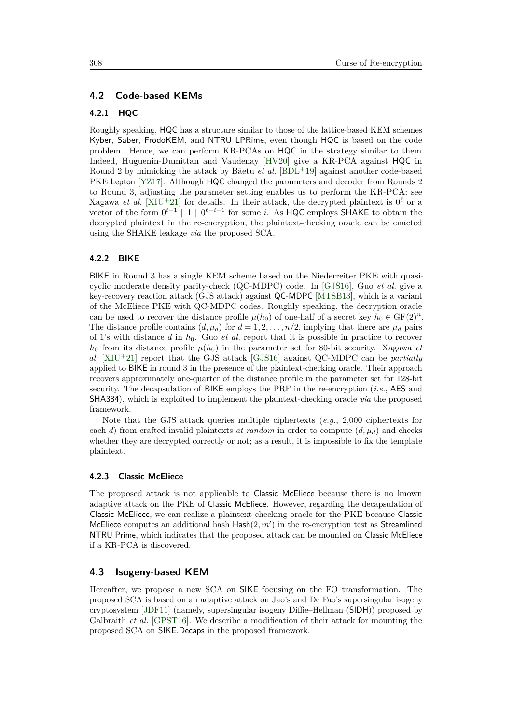### **4.2 Code-based KEMs**

### **4.2.1 HQC**

Roughly speaking, HQC has a structure similar to those of the lattice-based KEM schemes Kyber, Saber, FrodoKEM, and NTRU LPRime, even though HQC is based on the code problem. Hence, we can perform KR-PCAs on HQC in the strategy similar to them. Indeed, Huguenin-Dumittan and Vaudenay [\[HV20\]](#page-22-7) give a KR-PCA against HQC in Round 2 by mimicking the attack by Băetu *et al.* [\[BDL](#page-21-4)<sup>+</sup>19] against another code-based PKE Lepton [\[YZ17\]](#page-25-9). Although HQC changed the parameters and decoder from Rounds 2 to Round 3, adjusting the parameter setting enables us to perform the KR-PCA; see Xagawa *et al.* [\[XIU](#page-25-8)<sup>+</sup>21] for details. In their attack, the decrypted plaintext is  $0^{\ell}$  or a vector of the form  $0^{i-1} \parallel 1 \parallel 0^{\ell-i-1}$  for some *i*. As HQC employs SHAKE to obtain the decrypted plaintext in the re-encryption, the plaintext-checking oracle can be enacted using the SHAKE leakage *via* the proposed SCA.

# **4.2.2 BIKE**

BIKE in Round 3 has a single KEM scheme based on the Niederreiter PKE with quasicyclic moderate density parity-check (QC-MDPC) code. In [\[GJS16\]](#page-22-10), Guo *et al.* give a key-recovery reaction attack (GJS attack) against QC-MDPC [\[MTSB13\]](#page-23-9), which is a variant of the McEliece PKE with QC-MDPC codes. Roughly speaking, the decryption oracle can be used to recover the distance profile  $\mu(h_0)$  of one-half of a secret key  $h_0 \in \mathrm{GF}(2)^n$ . The distance profile contains  $(d, \mu_d)$  for  $d = 1, 2, \ldots, n/2$ , implying that there are  $\mu_d$  pairs of 1's with distance *d* in *h*0. Guo *et al.* report that it is possible in practice to recover  $h_0$  from its distance profile  $\mu(h_0)$  in the parameter set for 80-bit security. Xagawa *et al.* [\[XIU](#page-25-8)<sup>+</sup>21] report that the GJS attack [\[GJS16\]](#page-22-10) against QC-MDPC can be *partially* applied to BIKE in round 3 in the presence of the plaintext-checking oracle. Their approach recovers approximately one-quarter of the distance profile in the parameter set for 128-bit security. The decapsulation of BIKE employs the PRF in the re-encryption (*i.e.*, AES and SHA384), which is exploited to implement the plaintext-checking oracle *via* the proposed framework.

Note that the GJS attack queries multiple ciphertexts (*e.g.*, 2*,*000 ciphertexts for each *d*) from crafted invalid plaintexts *at random* in order to compute  $(d, \mu_d)$  and checks whether they are decrypted correctly or not; as a result, it is impossible to fix the template plaintext.

#### **4.2.3 Classic McEliece**

The proposed attack is not applicable to Classic McEliece because there is no known adaptive attack on the PKE of Classic McEliece. However, regarding the decapsulation of Classic McEliece, we can realize a plaintext-checking oracle for the PKE because Classic McEliece computes an additional hash  $\text{Hash}(2, m')$  in the re-encryption test as Streamlined NTRU Prime, which indicates that the proposed attack can be mounted on Classic McEliece if a KR-PCA is discovered.

# **4.3 Isogeny-based KEM**

Hereafter, we propose a new SCA on SIKE focusing on the FO transformation. The proposed SCA is based on an adaptive attack on Jao's and De Fao's supersingular isogeny cryptosystem [\[JDF11\]](#page-23-10) (namely, supersingular isogeny Diffie–Hellman (SIDH)) proposed by Galbraith *et al.* [\[GPST16\]](#page-22-6). We describe a modification of their attack for mounting the proposed SCA on SIKE.Decaps in the proposed framework.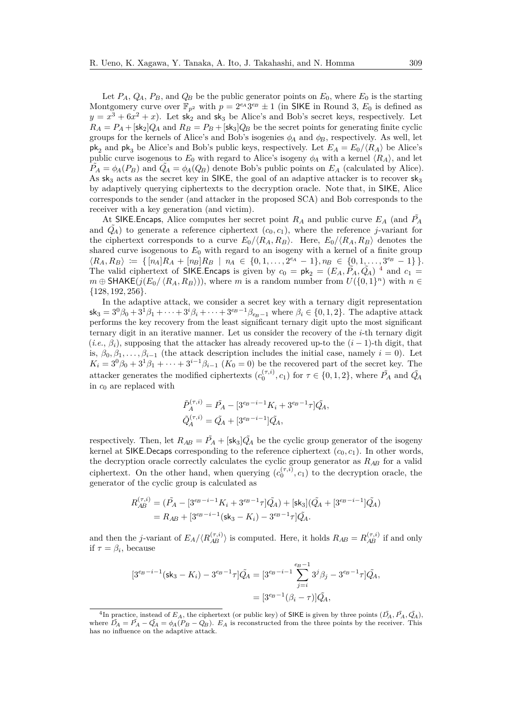Let  $P_A$ ,  $Q_A$ ,  $P_B$ , and  $Q_B$  be the public generator points on  $E_0$ , where  $E_0$  is the starting Montgomery curve over  $\mathbb{F}_{p^2}$  with  $p = 2^{e_A}3^{e_B} \pm 1$  (in SIKE in Round 3,  $E_0$  is defined as  $y = x^3 + 6x^2 + x$ . Let sk<sub>2</sub> and sk<sub>3</sub> be Alice's and Bob's secret keys, respectively. Let  $R_A = P_A + [\frac{\epsilon k_2}{Q_A} \text{ and } R_B = P_B + [\frac{\epsilon k_3}{Q_B} \text{ be the secret points for generating finite cyclic}$ groups for the kernels of Alice's and Bob's isogenies  $\phi_A$  and  $\phi_B$ , respectively. As well, let  $p\mathbf{k}_2$  and  $p\mathbf{k}_3$  be Alice's and Bob's public keys, respectively. Let  $E_A = E_0 / \langle R_A \rangle$  be Alice's public curve isogenous to  $E_0$  with regard to Alice's isogeny  $\phi_A$  with a kernel  $\langle R_A \rangle$ , and let  $\tilde{P}_A = \phi_A(P_B)$  and  $\tilde{Q}_A = \phi_A(Q_B)$  denote Bob's public points on  $E_A$  (calculated by Alice). As  $sk_3$  acts as the secret key in SIKE, the goal of an adaptive attacker is to recover  $sk_3$ by adaptively querying ciphertexts to the decryption oracle. Note that, in SIKE, Alice corresponds to the sender (and attacker in the proposed SCA) and Bob corresponds to the receiver with a key generation (and victim).

At SIKE. Encaps, Alice computes her secret point  $R_A$  and public curve  $E_A$  (and  $P_A$ and  $\tilde{Q}_A$  to generate a reference ciphertext  $(c_0, c_1)$ , where the reference *j*-variant for the ciphertext corresponds to a curve  $E_0/\langle R_A, R_B \rangle$ . Here,  $E_0/\langle R_A, R_B \rangle$  denotes the shared curve isogenous to  $E_0$  with regard to an isogeny with a kernel of a finite group  $\langle R_A, R_B \rangle \coloneqq \{ [n_A]R_A + [n_B]R_B \mid n_A \in \{0, 1, ..., 2^{e_A} - 1\}, n_B \in \{0, 1, ..., 3^{e_B} - 1\} \}.$ The valid ciphertext of SIKE. Encaps is given by  $c_0 = \mathsf{pk}_2 = (E_A, \tilde{P}_A, \tilde{Q}_A)^{-4}$  $c_0 = \mathsf{pk}_2 = (E_A, \tilde{P}_A, \tilde{Q}_A)^{-4}$  $c_0 = \mathsf{pk}_2 = (E_A, \tilde{P}_A, \tilde{Q}_A)^{-4}$  and  $c_1 =$  $m \oplus \textsf{SHAKE}(j(E_0/\langle R_A, R_B \rangle))$ , where *m* is a random number from  $U(\{0,1\}^n)$  with  $n \in$ {128*,* 192*,* 256}.

In the adaptive attack, we consider a secret key with a ternary digit representation  $s_{3} = 3^{0}\beta_{0} + 3^{1}\beta_{1} + \cdots + 3^{i}\beta_{i} + \cdots + 3^{e_{B}-1}\beta_{e_{B}-1}$  where  $\beta_{i} \in \{0,1,2\}$ . The adaptive attack performs the key recovery from the least significant ternary digit upto the most significant ternary digit in an iterative manner. Let us consider the recovery of the *i*-th ternary digit  $(i.e., \beta_i)$ , supposing that the attacker has already recovered up-to the  $(i-1)$ -th digit, that is,  $\beta_0, \beta_1, \ldots, \beta_{i-1}$  (the attack description includes the initial case, namely  $i = 0$ ). Let  $K_i = 3^0\beta_0 + 3^1\beta_1 + \cdots + 3^{i-1}\beta_{i-1}$  ( $K_0 = 0$ ) be the recovered part of the secret key. The attacker generates the modified ciphertexts  $(c_0^{(\tau,i)}, c_1)$  for  $\tau \in \{0, 1, 2\}$ , where  $\tilde{P_A}$  and  $\tilde{Q_A}$ in *c*<sup>0</sup> are replaced with

$$
\tilde{P}_A^{(\tau,i)} = \tilde{P}_A - [3^{e_B - i - 1}K_i + 3^{e_B - 1}\tau]\tilde{Q}_A,
$$
  

$$
\tilde{Q}_A^{(\tau,i)} = \tilde{Q}_A + [3^{e_B - i - 1}]\tilde{Q}_A,
$$

respectively. Then, let  $R_{AB} = \tilde{P}_A + [\mathsf{sk}_3] \tilde{Q}_A$  be the cyclic group generator of the isogeny kernel at SIKE.Decaps corresponding to the reference ciphertext  $(c_0, c_1)$ . In other words, the decryption oracle correctly calculates the cyclic group generator as *RAB* for a valid ciphertext. On the other hand, when querying  $(c_0^{(\tau,i)}, c_1)$  to the decryption oracle, the generator of the cyclic group is calculated as

$$
R_{AB}^{(\tau,i)} = (\tilde{P}_A - [3^{e_B - i - 1}K_i + 3^{e_B - 1}\tau]\tilde{Q}_A) + [\mathsf{sk}_3](\tilde{Q}_A + [3^{e_B - i - 1}]\tilde{Q}_A)
$$
  
=  $R_{AB} + [3^{e_B - i - 1}(\mathsf{sk}_3 - K_i) - 3^{e_B - 1}\tau]\tilde{Q}_A.$ 

and then the *j*-variant of  $E_A / \langle R_{AB}^{(\tau,i)} \rangle$  is computed. Here, it holds  $R_{AB} = R_{AB}^{(\tau,i)}$  if and only if  $\tau = \beta_i$ , because

$$
[3^{e_B - i - 1}(\text{sk}_3 - K_i) - 3^{e_B - 1}\tau]\tilde{Q}_A = [3^{e_B - i - 1}\sum_{j=i}^{e_B - 1} 3^j \beta_j - 3^{e_B - 1}\tau]\tilde{Q}_A,
$$
  
= 
$$
[3^{e_B - 1}(\beta_i - \tau)]\tilde{Q}_A,
$$

<span id="page-13-0"></span><sup>&</sup>lt;sup>4</sup>In practice, instead of  $E_A$ , the ciphertext (or public key) of SIKE is given by three points  $(\tilde{D_A}, \tilde{P_A}, \tilde{Q_A})$ , where  $\tilde{D}_A = \tilde{P}_A - \tilde{Q}_A = \phi_A(P_B - Q_B)$ .  $E_A$  is reconstructed from the three points by the receiver. This has no influence on the adaptive attack.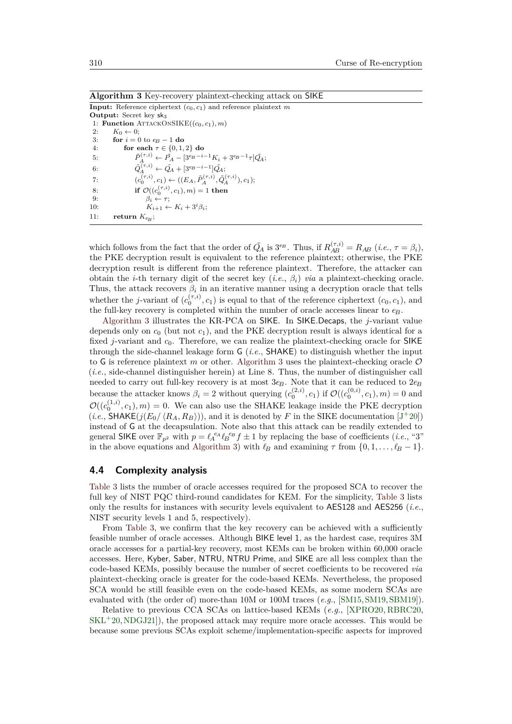<span id="page-14-0"></span>**Algorithm 3** Key-recovery plaintext-checking attack on SIKE

**Input:** Reference ciphertext  $(c_0, c_1)$  and reference plaintext  $m$ **Output:** Secret key sk<sub>3</sub> 1: **Function**  $ATTACKONSIKE((c_0, c_1), m)$ 2:  $K_0 \leftarrow 0;$ <br>3: **for**  $i = 0$ 3: **for**  $i = 0$  to  $e_B - 1$  **do**<br>4: **for each**  $\tau \in \{0, 1\}$ for each  $\tau \in \{0, 1, 2\}$  do 5:  $\tilde{P}_A^{(\tau,i)} \leftarrow \tilde{P}_A - [3^{e_B - i - 1}K_i + 3^{e_B - 1}\tau]\tilde{Q}_A;$ 6:  $\tilde{Q}_A^{(\tau,i)} \leftarrow \tilde{Q}_A + [3^{e_B - i - 1}]\tilde{Q}_A;$ 7:  $(c_0^{(\tau,i)}, c_1) \leftarrow ((E_A, \tilde{P}_A^{(\tau,i)}, \tilde{Q}_A^{(\tau,i)}), c_1);$ 8: **if**  $\mathcal{O}((c_0^{(\tau,i)}, c_1), m) = 1$  then 9:  $\beta_i \leftarrow \tau;$ 10:  $K_{i+1} \leftarrow K_i + 3^i \beta_i;$ 11: **return**  $K_{e_B}$ ;

which follows from the fact that the order of  $\tilde{Q}_A$  is  $3^{e_B}$ . Thus, if  $R_{AB}^{(\tau,i)} = R_{AB}$  (*i.e.*,  $\tau = \beta_i$ ), the PKE decryption result is equivalent to the reference plaintext; otherwise, the PKE decryption result is different from the reference plaintext. Therefore, the attacker can obtain the *i*-th ternary digit of the secret key (*i.e.*, *βi*) *via* a plaintext-checking oracle. Thus, the attack recovers  $\beta_i$  in an iterative manner using a decryption oracle that tells whether the *j*-variant of  $(c_0^{(\tau,i)}, c_1)$  is equal to that of the reference ciphertext  $(c_0, c_1)$ , and the full-key recovery is completed within the number of oracle accesses linear to *eB*.

[Algorithm 3](#page-14-0) illustrates the KR-PCA on SIKE. In SIKE.Decaps, the *j*-variant value depends only on  $c_0$  (but not  $c_1$ ), and the PKE decryption result is always identical for a fixed *j*-variant and  $c_0$ . Therefore, we can realize the plaintext-checking oracle for SIKE through the side-channel leakage form G (*i.e.*, SHAKE) to distinguish whether the input to G is reference plaintext  $m$  or other. [Algorithm 3](#page-14-0) uses the plaintext-checking oracle  $O$ (*i.e.*, side-channel distinguisher herein) at Line 8. Thus, the number of distinguisher call needed to carry out full-key recovery is at most  $3e<sub>B</sub>$ . Note that it can be reduced to  $2e<sub>B</sub>$ because the attacker knows  $\beta_i = 2$  without querying  $(c_0^{(2,i)}, c_1)$  if  $\mathcal{O}((c_0^{(0,i)}, c_1), m) = 0$  and  $\mathcal{O}((c_0^{(1,i)}, c_1), m) = 0$ . We can also use the SHAKE leakage inside the PKE decryption  $(i.e.,$  SHAKE( $j(E_0/\langle R_A, R_B \rangle)$ ), and it is denoted by F in the SIKE documentation [J<sup>+</sup>[20\]](#page-22-11)) instead of G at the decapsulation. Note also that this attack can be readily extended to general SIKE over  $\mathbb{F}_{p^2}$  with  $p = \ell_A^{eA} \ell_B^{eB} f \pm 1$  by replacing the base of coefficients (*i.e.*, "3") in the above equations and [Algorithm 3\)](#page-14-0) with  $\ell_B$  and examining  $\tau$  from  $\{0, 1, \ldots, \ell_B - 1\}$ .

### **4.4 Complexity analysis**

[Table 3](#page-15-1) lists the number of oracle accesses required for the proposed SCA to recover the full key of NIST PQC third-round candidates for KEM. For the simplicity, [Table 3](#page-15-1) lists only the results for instances with security levels equivalent to AES128 and AES256 (*i.e.*, NIST security levels 1 and 5, respectively).

From [Table 3,](#page-15-1) we confirm that the key recovery can be achieved with a sufficiently feasible number of oracle accesses. Although BIKE level 1, as the hardest case, requires 3M oracle accesses for a partial-key recovery, most KEMs can be broken within 60,000 oracle accesses. Here, Kyber, Saber, NTRU, NTRU Prime, and SIKE are all less complex than the code-based KEMs, possibly because the number of secret coefficients to be recovered *via* plaintext-checking oracle is greater for the code-based KEMs. Nevertheless, the proposed SCA would be still feasible even on the code-based KEMs, as some modern SCAs are evaluated with (the order of) more-than 10M or 100M traces (*e.g.*, [\[SM15,](#page-25-6) [SM19,](#page-25-10) [SBM19\]](#page-24-10)).

Relative to previous CCA SCAs on lattice-based KEMs (*e.g.*, [\[XPRO20,](#page-25-1) [RBRC20,](#page-24-5)  $SKL+20, NDGJ21$  $SKL+20, NDGJ21$ , the proposed attack may require more oracle accesses. This would be because some previous SCAs exploit scheme/implementation-specific aspects for improved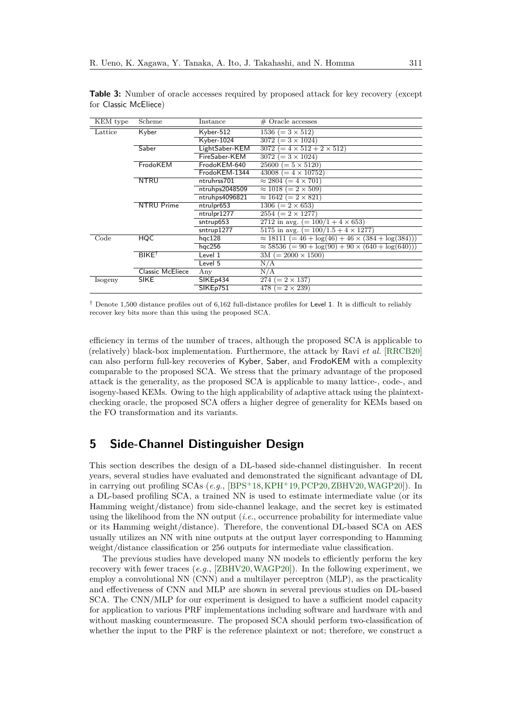| KEM type | Scheme                  | Instance             | $#$ Oracle accesses                                             |
|----------|-------------------------|----------------------|-----------------------------------------------------------------|
| Lattice  | Kyber                   | Kyber-512            | $1536 (= 3 \times 512)$                                         |
|          |                         | Kyber-1024           | $3072 (= 3 \times 1024)$                                        |
|          | Saber                   | LightSaber-KEM       | $(= 4 \times 512 + 2 \times 512)$<br>3072                       |
|          |                         | FireSaber-KEM        | $3072 (= 3 \times 1024)$                                        |
|          | FrodoKEM                | FrodoKEM-640         | $25600 (= 5 \times 5120)$                                       |
|          |                         | FrodoKEM-1344        | $43008 (= 4 \times 10752)$                                      |
|          | <b>NTRU</b>             | ntruhrss701          | $\approx 2804 (= 4 \times 701)$                                 |
|          |                         | ntruhps2048509       | $\approx 1018 (= 2 \times 509)$                                 |
|          |                         | ntruhps4096821       | $\approx 1642 (= 2 \times 821)$                                 |
|          | <b>NTRU Prime</b>       | ntrulpr653           | $1306 (= 2 \times 653)$                                         |
|          |                         | ntrulpr1277          | $2554 (= 2 \times 1277)$                                        |
|          |                         | sntrup653            | 2712 in avg. $(= 100/1 + 4 \times 653)$                         |
|          |                         | sntrup1277           | 5175 in avg. $(=100/1.5 + 4 \times 1277)$                       |
| Code     | <b>HQC</b>              | hqc128               | $\approx 18111$ (= 46 + $\log(46)$ + 46 × (384 + $\log(384)$ )) |
|          |                         | hqc256               | $\approx 58536$ (= 90 + $\log(90)$ + 90 × (640 + $\log(640)$ )) |
|          | $BIKE^{\dagger}$        | Level 1              | $3M (= 2000 \times 1500)$                                       |
|          |                         | Level 5              | N/A                                                             |
|          | <b>Classic McEliece</b> | Any                  | N/A                                                             |
| Isogeny  | <b>SIKE</b>             | SIKE <sub>p434</sub> | $274 (= 2 \times 137)$                                          |
|          |                         | SIKEp751             | 478 ( $= 2 \times 239$ )                                        |

<span id="page-15-1"></span>**Table 3:** Number of oracle accesses required by proposed attack for key recovery (except for Classic McEliece)

† Denote 1*,*500 distance profiles out of 6*,*162 full-distance profiles for Level 1. It is difficult to reliably recover key bits more than this using the proposed SCA.

efficiency in terms of the number of traces, although the proposed SCA is applicable to (relatively) black-box implementation. Furthermore, the attack by Ravi *et al.* [\[RRCB20\]](#page-24-2) can also perform full-key recoveries of Kyber, Saber, and FrodoKEM with a complexity comparable to the proposed SCA. We stress that the primary advantage of the proposed attack is the generality, as the proposed SCA is applicable to many lattice-, code-, and isogeny-based KEMs. Owing to the high applicability of adaptive attack using the plaintextchecking oracle, the proposed SCA offers a higher degree of generality for KEMs based on the FO transformation and its variants.

# <span id="page-15-0"></span>**5 Side-Channel Distinguisher Design**

This section describes the design of a DL-based side-channel distinguisher. In recent years, several studies have evaluated and demonstrated the significant advantage of DL in carrying out profiling SCAs (*e.g.*, [\[BPS](#page-21-6)<sup>+</sup>18, [KPH](#page-23-11)<sup>+</sup>19, [PCP20,](#page-24-11) [ZBHV20,](#page-26-2) [WAGP20\]](#page-25-11)). In a DL-based profiling SCA, a trained NN is used to estimate intermediate value (or its Hamming weight/distance) from side-channel leakage, and the secret key is estimated using the likelihood from the NN output (*i.e.*, occurrence probability for intermediate value or its Hamming weight/distance). Therefore, the conventional DL-based SCA on AES usually utilizes an NN with nine outputs at the output layer corresponding to Hamming weight/distance classification or 256 outputs for intermediate value classification.

The previous studies have developed many NN models to efficiently perform the key recovery with fewer traces (*e.g.*, [\[ZBHV20,](#page-26-2)[WAGP20\]](#page-25-11)). In the following experiment, we employ a convolutional NN (CNN) and a multilayer perceptron (MLP), as the practicality and effectiveness of CNN and MLP are shown in several previous studies on DL-based SCA. The CNN/MLP for our experiment is designed to have a sufficient model capacity for application to various PRF implementations including software and hardware with and without masking countermeasure. The proposed SCA should perform two-classification of whether the input to the PRF is the reference plaintext or not; therefore, we construct a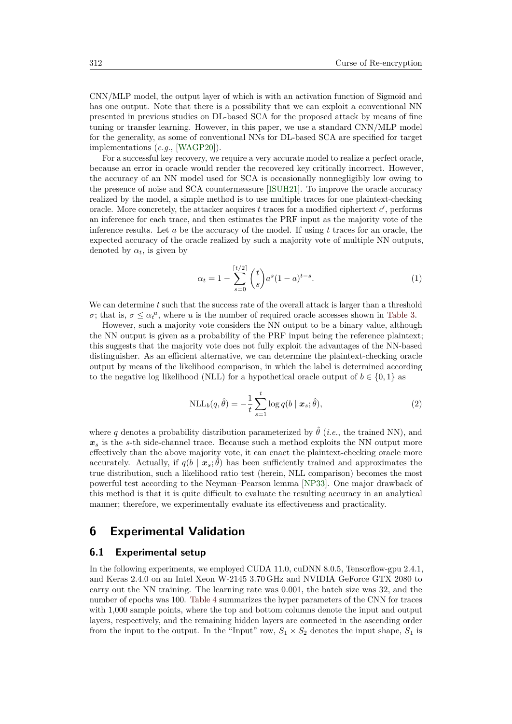CNN/MLP model, the output layer of which is with an activation function of Sigmoid and has one output. Note that there is a possibility that we can exploit a conventional NN presented in previous studies on DL-based SCA for the proposed attack by means of fine tuning or transfer learning. However, in this paper, we use a standard CNN/MLP model for the generality, as some of conventional NNs for DL-based SCA are specified for target implementations (*e.g.*, [\[WAGP20\]](#page-25-11)).

For a successful key recovery, we require a very accurate model to realize a perfect oracle, because an error in oracle would render the recovered key critically incorrect. However, the accuracy of an NN model used for SCA is occasionally nonnegligibly low owing to the presence of noise and SCA countermeasure [\[ISUH21\]](#page-22-3). To improve the oracle accuracy realized by the model, a simple method is to use multiple traces for one plaintext-checking oracle. More concretely, the attacker acquires  $t$  traces for a modified ciphertext  $c'$ , performs an inference for each trace, and then estimates the PRF input as the majority vote of the inference results. Let *a* be the accuracy of the model. If using *t* traces for an oracle, the expected accuracy of the oracle realized by such a majority vote of multiple NN outputs, denoted by  $\alpha_t$ , is given by

<span id="page-16-1"></span>
$$
\alpha_t = 1 - \sum_{s=0}^{\lceil t/2 \rceil} \binom{t}{s} a^s (1-a)^{t-s}.
$$
 (1)

We can determine *t* such that the success rate of the overall attack is larger than a threshold *σ*; that is,  $\sigma \leq \alpha_t^u$ , where *u* is the number of required oracle accesses shown in [Table 3.](#page-15-1)

However, such a majority vote considers the NN output to be a binary value, although the NN output is given as a probability of the PRF input being the reference plaintext; this suggests that the majority vote does not fully exploit the advantages of the NN-based distinguisher. As an efficient alternative, we can determine the plaintext-checking oracle output by means of the likelihood comparison, in which the label is determined according to the negative log likelihood (NLL) for a hypothetical oracle output of  $b \in \{0,1\}$  as

<span id="page-16-2"></span>
$$
NLL_b(q, \hat{\theta}) = -\frac{1}{t} \sum_{s=1}^t \log q(b \mid \mathbf{x}_s; \hat{\theta}),
$$
\n(2)

where *q* denotes a probability distribution parameterized by  $\hat{\theta}$  (*i.e.*, the trained NN), and  $x<sub>s</sub>$  is the *s*-th side-channel trace. Because such a method exploits the NN output more effectively than the above majority vote, it can enact the plaintext-checking oracle more accurately. Actually, if  $q(b \mid x_s; \hat{\theta})$  has been sufficiently trained and approximates the true distribution, such a likelihood ratio test (herein, NLL comparison) becomes the most powerful test according to the Neyman–Pearson lemma [\[NP33\]](#page-24-12). One major drawback of this method is that it is quite difficult to evaluate the resulting accuracy in an analytical manner; therefore, we experimentally evaluate its effectiveness and practicality.

# <span id="page-16-0"></span>**6 Experimental Validation**

### **6.1 Experimental setup**

In the following experiments, we employed CUDA 11.0, cuDNN 8.0.5, Tensorflow-gpu 2.4.1, and Keras 2.4.0 on an Intel Xeon W-2145 3.70 GHz and NVIDIA GeForce GTX 2080 to carry out the NN training. The learning rate was 0.001, the batch size was 32, and the number of epochs was 100. [Table 4](#page-17-0) summarizes the hyper parameters of the CNN for traces with 1,000 sample points, where the top and bottom columns denote the input and output layers, respectively, and the remaining hidden layers are connected in the ascending order from the input to the output. In the "Input" row,  $S_1 \times S_2$  denotes the input shape,  $S_1$  is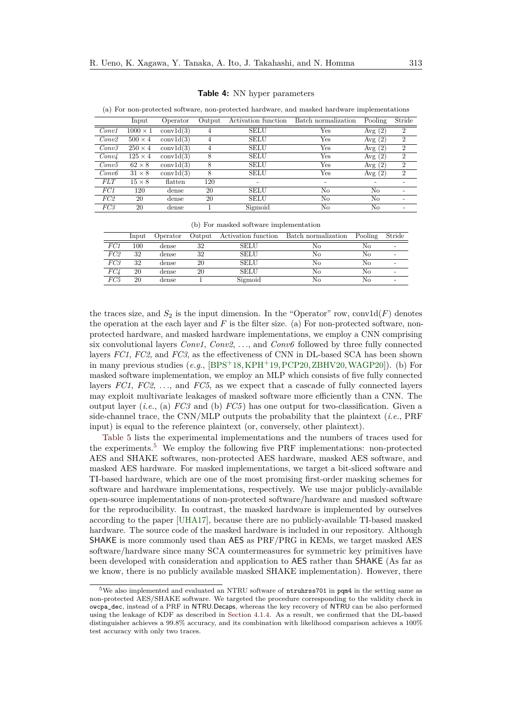|                   | Input           | Operator  | Output | Activation function | Batch normalization | Pooling   | Stride         |
|-------------------|-----------------|-----------|--------|---------------------|---------------------|-----------|----------------|
| Conv1             | $1000 \times 1$ | conv1d(3) | 4      | <b>SELU</b>         | Yes                 | Avg $(2)$ | $\overline{2}$ |
| Conv2             | $500 \times 4$  | conv1d(3) | 4      | <b>SELU</b>         | Yes                 | Avg $(2)$ | $\overline{2}$ |
| Conv3             | $250 \times 4$  | conv1d(3) | 4      | <b>SELU</b>         | Yes                 | Avg $(2)$ | $\overline{2}$ |
| Conv <sub>4</sub> | $125 \times 4$  | conv1d(3) | 8      | <b>SELU</b>         | Yes                 | Avg $(2)$ | $\overline{2}$ |
| Conv5             | $62 \times 8$   | conv1d(3) | 8      | <b>SELU</b>         | Yes                 | Avg $(2)$ | $\overline{2}$ |
| Conv6             | $31 \times 8$   | conv1d(3) | 8      | <b>SELU</b>         | Yes                 | Avg $(2)$ | $\overline{2}$ |
| <i>FLT</i>        | $15 \times 8$   | flatten   | 120    |                     |                     |           |                |
| FC1               | 120             | dense     | 20     | <b>SELU</b>         | No                  | No        |                |
| FC <sub>2</sub>   | 20              | dense     | 20     | <b>SELU</b>         | No                  | No        |                |
| FC3               | 20              | dense     |        | Sigmoid             | No                  | No        |                |

**Table 4:** NN hyper parameters

<span id="page-17-0"></span>(a) For non-protected software, non-protected hardware, and masked hardware implementations

(b) For masked software implementation

|                 | Input   | Operator | Output | Activation function | Batch normalization | Pooling | Stride                   |
|-----------------|---------|----------|--------|---------------------|---------------------|---------|--------------------------|
| FC1             | $100\,$ | dense    | 32     | <b>SELU</b>         | Nο                  | No      | $\overline{\phantom{0}}$ |
| FC <sub>2</sub> | 32      | dense    | 32     | <b>SELU</b>         | No                  | No      |                          |
| FC3             | 32      | dense    | 20     | <b>SELU</b>         | Nο                  | No      |                          |
| FC <sub>4</sub> | 20      | dense    | 20     | <b>SELU</b>         | Nο                  | No      |                          |
| FC5             | 20      | dense    |        | Sigmoid             | Nο                  | No      |                          |

the traces size, and  $S_2$  is the input dimension. In the "Operator" row, conv1d( $F$ ) denotes the operation at the each layer and *F* is the filter size. (a) For non-protected software, nonprotected hardware, and masked hardware implementations, we employ a CNN comprising six convolutional layers *Conv1*, *Conv2*, *. . .*, and *Conv6* followed by three fully connected layers *FC1*, *FC2*, and *FC3*, as the effectiveness of CNN in DL-based SCA has been shown in many previous studies  $(e.g., [BPS+18,KPH+19, PCP20,ZBHV20,WAGP20])$  $(e.g., [BPS+18,KPH+19, PCP20,ZBHV20,WAGP20])$  $(e.g., [BPS+18,KPH+19, PCP20,ZBHV20,WAGP20])$  $(e.g., [BPS+18,KPH+19, PCP20,ZBHV20,WAGP20])$  $(e.g., [BPS+18,KPH+19, PCP20,ZBHV20,WAGP20])$  $(e.g., [BPS+18,KPH+19, PCP20,ZBHV20,WAGP20])$  $(e.g., [BPS+18,KPH+19, PCP20,ZBHV20,WAGP20])$  $(e.g., [BPS+18,KPH+19, PCP20,ZBHV20,WAGP20])$  $(e.g., [BPS+18,KPH+19, PCP20,ZBHV20,WAGP20])$ . (b) For masked software implementation, we employ an MLP which consists of five fully connected layers *FC1*, *FC2*, *. . .*, and *FC5*, as we expect that a cascade of fully connected layers may exploit multivariate leakages of masked software more efficiently than a CNN. The output layer (*i.e.*, (a) *FC3* and (b) *FC5* ) has one output for two-classification. Given a side-channel trace, the CNN/MLP outputs the probability that the plaintext (*i.e.*, PRF input) is equal to the reference plaintext (or, conversely, other plaintext).

[Table 5](#page-18-0) lists the experimental implementations and the numbers of traces used for the experiments.[5](#page-17-1) We employ the following five PRF implementations: non-protected AES and SHAKE softwares, non-protected AES hardware, masked AES software, and masked AES hardware. For masked implementations, we target a bit-sliced software and TI-based hardware, which are one of the most promising first-order masking schemes for software and hardware implementations, respectively. We use major publicly-available open-source implementations of non-protected software/hardware and masked software for the reproducibility. In contrast, the masked hardware is implemented by ourselves according to the paper [\[UHA17\]](#page-25-5), because there are no publicly-available TI-based masked hardware. The source code of the masked hardware is included in our repository. Although SHAKE is more commonly used than AES as PRF/PRG in KEMs, we target masked AES software/hardware since many SCA countermeasures for symmetric key primitives have been developed with consideration and application to AES rather than SHAKE (As far as we know, there is no publicly available masked SHAKE implementation). However, there

<span id="page-17-1"></span><sup>5</sup>We also implemented and evaluated an NTRU software of ntruhrss701 in pqm4 in the setting same as non-protected AES/SHAKE software. We targeted the procedure corresponding to the validity check in owcpa\_dec, instead of a PRF in NTRU.Decaps, whereas the key recovery of NTRU can be also performed using the leakage of KDF as described in [Section 4.1.4.](#page-10-1) As a result, we confirmed that the DL-based distinguisher achieves a 99.8% accuracy, and its combination with likelihood comparison achieves a 100% test accuracy with only two traces.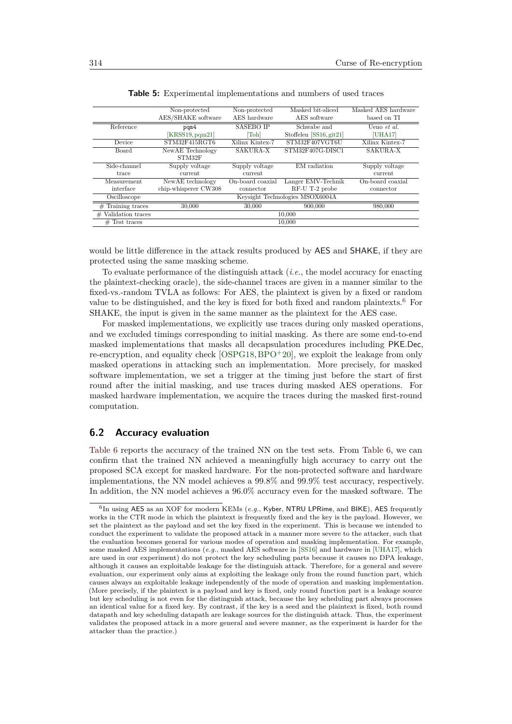<span id="page-18-0"></span>

|                        | Non-protected        | Non-protected    | Masked bit-sliced               | Masked AES hardware |
|------------------------|----------------------|------------------|---------------------------------|---------------------|
|                        | AES/SHAKE software   | AES hardware     | AES software                    | based on TI         |
| Reference              | pqm4                 | <b>SASEBO IP</b> | Schwabe and                     | Ueno et al.         |
|                        | [KRSS19, pqm21]      | [Toh]            | Stoffelen [SS16, git21]         | [UHA17]             |
| Device                 | STM32F415RGT6        | Xilinx Kintex-7  | STM32F407VGT6U                  | Xilinx Kintex-7     |
| Board                  | NewAE Technology     | SAKURA-X         | STM32F407G-DISC1                | SAKURA-X            |
|                        | STM32F               |                  |                                 |                     |
| Side-channel           | Supply voltage       | Supply voltage   | EM radiation                    | Supply voltage      |
| trace                  | current              | current          |                                 | current             |
| Measurement            | NewAE technology     | On-board coaxial | Langer EMV-Technik              | On-board coaxial    |
| interface              | chip-whisperer CW308 | connector        | RF-U T-2 probe                  | connector           |
| Oscilloscope           |                      |                  | Keysight Technologies MSOX6004A |                     |
| $#$ Training traces    | 30,000               | 30,000           | 900,000                         | 980,000             |
| Validation traces<br># |                      |                  | 10.000                          |                     |
| $#$ Test traces        |                      |                  | 10.000                          |                     |

**Table 5:** Experimental implementations and numbers of used traces

would be little difference in the attack results produced by AES and SHAKE, if they are protected using the same masking scheme.

To evaluate performance of the distinguish attack (*i.e.*, the model accuracy for enacting the plaintext-checking oracle), the side-channel traces are given in a manner similar to the fixed-vs.-random TVLA as follows: For AES, the plaintext is given by a fixed or random value to be distinguished, and the key is fixed for both fixed and random plaintexts.[6](#page-18-1) For SHAKE, the input is given in the same manner as the plaintext for the AES case.

For masked implementations, we explicitly use traces during only masked operations, and we excluded timings corresponding to initial masking. As there are some end-to-end masked implementations that masks all decapsulation procedures including PKE*.*Dec, re-encryption, and equality check  $[OSPG18, BPO<sup>+</sup>20]$  $[OSPG18, BPO<sup>+</sup>20]$  $[OSPG18, BPO<sup>+</sup>20]$  $[OSPG18, BPO<sup>+</sup>20]$ , we exploit the leakage from only masked operations in attacking such an implementation. More precisely, for masked software implementation, we set a trigger at the timing just before the start of first round after the initial masking, and use traces during masked AES operations. For masked hardware implementation, we acquire the traces during the masked first-round computation.

# <span id="page-18-2"></span>**6.2 Accuracy evaluation**

[Table 6](#page-19-0) reports the accuracy of the trained NN on the test sets. From [Table 6,](#page-19-0) we can confirm that the trained NN achieved a meaningfully high accuracy to carry out the proposed SCA except for masked hardware. For the non-protected software and hardware implementations, the NN model achieves a 99.8% and 99.9% test accuracy, respectively. In addition, the NN model achieves a 96.0% accuracy even for the masked software. The

<span id="page-18-1"></span><sup>&</sup>lt;sup>6</sup>In using AES as an XOF for modern KEMs (*e.g.*, Kyber, NTRU LPRime, and BIKE), AES frequently works in the CTR mode in which the plaintext is frequently fixed and the key is the payload. However, we set the plaintext as the payload and set the key fixed in the experiment. This is because we intended to conduct the experiment to validate the proposed attack in a manner more severe to the attacker, such that the evaluation becomes general for various modes of operation and masking implementation. For example, some masked AES implementations (*e.g.*, masked AES software in [\[SS16\]](#page-25-4) and hardware in [\[UHA17\]](#page-25-5), which are used in our experiment) do not protect the key scheduling parts because it causes no DPA leakage, although it causes an exploitable leakage for the distinguish attack. Therefore, for a general and severe evaluation, our experiment only aims at exploiting the leakage only from the round function part, which causes always an exploitable leakage independently of the mode of operation and masking implementation. (More precisely, if the plaintext is a payload and key is fixed, only round function part is a leakage source but key scheduling is not even for the distinguish attack, because the key scheduling part always processes an identical value for a fixed key. By contrast, if the key is a seed and the plaintext is fixed, both round datapath and key scheduling datapath are leakage sources for the distinguish attack. Thus, the experiment validates the proposed attack in a more general and severe manner, as the experiment is harder for the attacker than the practice.)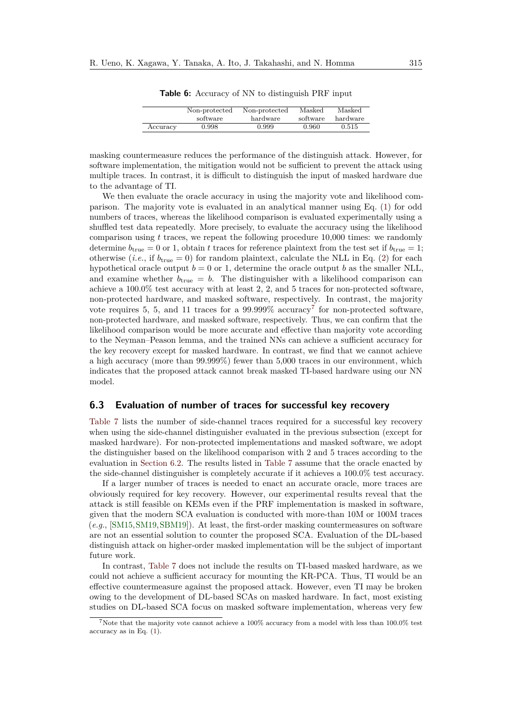<span id="page-19-0"></span>

|          | Non-protected | Non-protected | Masked   | Masked   |
|----------|---------------|---------------|----------|----------|
|          | software      | hardware      | software | hardware |
| Accuracy | 0.998         | 0.999         | 0.960    | 0.515    |

**Table 6:** Accuracy of NN to distinguish PRF input

masking countermeasure reduces the performance of the distinguish attack. However, for software implementation, the mitigation would not be sufficient to prevent the attack using multiple traces. In contrast, it is difficult to distinguish the input of masked hardware due to the advantage of TI.

We then evaluate the oracle accuracy in using the majority vote and likelihood comparison. The majority vote is evaluated in an analytical manner using Eq. [\(1\)](#page-16-1) for odd numbers of traces, whereas the likelihood comparison is evaluated experimentally using a shuffled test data repeatedly. More precisely, to evaluate the accuracy using the likelihood comparison using *t* traces, we repeat the following procedure 10,000 times: we randomly determine  $b_{true} = 0$  or 1, obtain t traces for reference plaintext from the test set if  $b_{true} = 1$ ; otherwise (*i.e.*, if  $b_{true} = 0$ ) for random plaintext, calculate the NLL in Eq. [\(2\)](#page-16-2) for each hypothetical oracle output  $b = 0$  or 1, determine the oracle output *b* as the smaller NLL, and examine whether  $b_{true} = b$ . The distinguisher with a likelihood comparison can achieve a 100.0% test accuracy with at least 2, 2, and 5 traces for non-protected software, non-protected hardware, and masked software, respectively. In contrast, the majority vote requires 5, 5, and 11 traces for a  $99.999\%$  accuracy<sup>[7](#page-19-1)</sup> for non-protected software, non-protected hardware, and masked software, respectively. Thus, we can confirm that the likelihood comparison would be more accurate and effective than majority vote according to the Neyman–Peason lemma, and the trained NNs can achieve a sufficient accuracy for the key recovery except for masked hardware. In contrast, we find that we cannot achieve a high accuracy (more than 99.999%) fewer than 5,000 traces in our environment, which indicates that the proposed attack cannot break masked TI-based hardware using our NN model.

# **6.3 Evaluation of number of traces for successful key recovery**

[Table 7](#page-20-1) lists the number of side-channel traces required for a successful key recovery when using the side-channel distinguisher evaluated in the previous subsection (except for masked hardware). For non-protected implementations and masked software, we adopt the distinguisher based on the likelihood comparison with 2 and 5 traces according to the evaluation in [Section 6.2.](#page-18-2) The results listed in [Table 7](#page-20-1) assume that the oracle enacted by the side-channel distinguisher is completely accurate if it achieves a 100.0% test accuracy.

If a larger number of traces is needed to enact an accurate oracle, more traces are obviously required for key recovery. However, our experimental results reveal that the attack is still feasible on KEMs even if the PRF implementation is masked in software, given that the modern SCA evaluation is conducted with more-than 10M or 100M traces (*e.g.*, [\[SM15,](#page-25-6)[SM19,](#page-25-10)[SBM19\]](#page-24-10)). At least, the first-order masking countermeasures on software are not an essential solution to counter the proposed SCA. Evaluation of the DL-based distinguish attack on higher-order masked implementation will be the subject of important future work.

In contrast, [Table 7](#page-20-1) does not include the results on TI-based masked hardware, as we could not achieve a sufficient accuracy for mounting the KR-PCA. Thus, TI would be an effective countermeasure against the proposed attack. However, even TI may be broken owing to the development of DL-based SCAs on masked hardware. In fact, most existing studies on DL-based SCA focus on masked software implementation, whereas very few

<span id="page-19-1"></span><sup>&</sup>lt;sup>7</sup>Note that the majority vote cannot achieve a 100% accuracy from a model with less than 100.0% test accuracy as in Eq. [\(1\)](#page-16-1).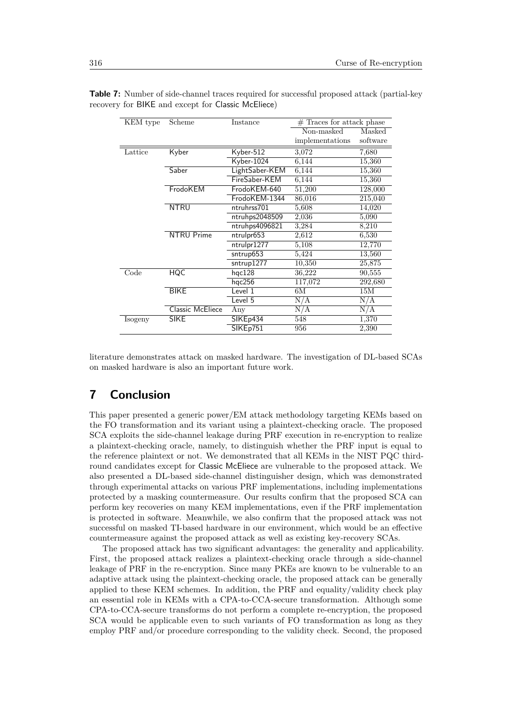| KEM type | Scheme            | Instance       | $#$ Traces for attack phase |          |
|----------|-------------------|----------------|-----------------------------|----------|
|          |                   |                | Non-masked                  | Masked   |
|          |                   |                | implementations             | software |
| Lattice  | Kyber             | Kyber-512      | 3,072                       | 7,680    |
|          |                   | Kyber-1024     | 6,144                       | 15,360   |
|          | Saber             | LightSaber-KEM | 6,144                       | 15,360   |
|          |                   | FireSaber-KEM  | 6,144                       | 15,360   |
|          | FrodoKEM          | FrodoKEM-640   | 51,200                      | 128,000  |
|          |                   | FrodoKEM-1344  | 86,016                      | 215,040  |
|          | <b>NTRU</b>       | ntruhrss701    | 5,608                       | 14,020   |
|          |                   | ntruhps2048509 | 2,036                       | 5,090    |
|          |                   | ntruhps4096821 | 3,284                       | 8,210    |
|          | <b>NTRU Prime</b> | ntrulpr653     | 2,612                       | 6,530    |
|          |                   | ntrulpr1277    | 5,108                       | 12,770   |
|          |                   | sntrup653      | 5,424                       | 13,560   |
|          |                   | sntrup1277     | 10,350                      | 25,875   |
| Code     | <b>HQC</b>        | hqc128         | 36,222                      | 90,555   |
|          |                   | hqc256         | 117,072                     | 292,680  |
|          | <b>BIKE</b>       | Level 1        | 6M                          | 15M      |
|          |                   | Level 5        | N/A                         | N/A      |
|          | Classic McEliece  | Any            | N/A                         | N/A      |
| Isogeny  | <b>SIKE</b>       | SIKEp434       | 548                         | 1,370    |
|          |                   | SIKEp751       | 956                         | 2,390    |

<span id="page-20-1"></span>**Table 7:** Number of side-channel traces required for successful proposed attack (partial-key recovery for BIKE and except for Classic McEliece)

literature demonstrates attack on masked hardware. The investigation of DL-based SCAs on masked hardware is also an important future work.

# <span id="page-20-0"></span>**7 Conclusion**

This paper presented a generic power/EM attack methodology targeting KEMs based on the FO transformation and its variant using a plaintext-checking oracle. The proposed SCA exploits the side-channel leakage during PRF execution in re-encryption to realize a plaintext-checking oracle, namely, to distinguish whether the PRF input is equal to the reference plaintext or not. We demonstrated that all KEMs in the NIST PQC thirdround candidates except for Classic McEliece are vulnerable to the proposed attack. We also presented a DL-based side-channel distinguisher design, which was demonstrated through experimental attacks on various PRF implementations, including implementations protected by a masking countermeasure. Our results confirm that the proposed SCA can perform key recoveries on many KEM implementations, even if the PRF implementation is protected in software. Meanwhile, we also confirm that the proposed attack was not successful on masked TI-based hardware in our environment, which would be an effective countermeasure against the proposed attack as well as existing key-recovery SCAs.

The proposed attack has two significant advantages: the generality and applicability. First, the proposed attack realizes a plaintext-checking oracle through a side-channel leakage of PRF in the re-encryption. Since many PKEs are known to be vulnerable to an adaptive attack using the plaintext-checking oracle, the proposed attack can be generally applied to these KEM schemes. In addition, the PRF and equality/validity check play an essential role in KEMs with a CPA-to-CCA-secure transformation. Although some CPA-to-CCA-secure transforms do not perform a complete re-encryption, the proposed SCA would be applicable even to such variants of FO transformation as long as they employ PRF and/or procedure corresponding to the validity check. Second, the proposed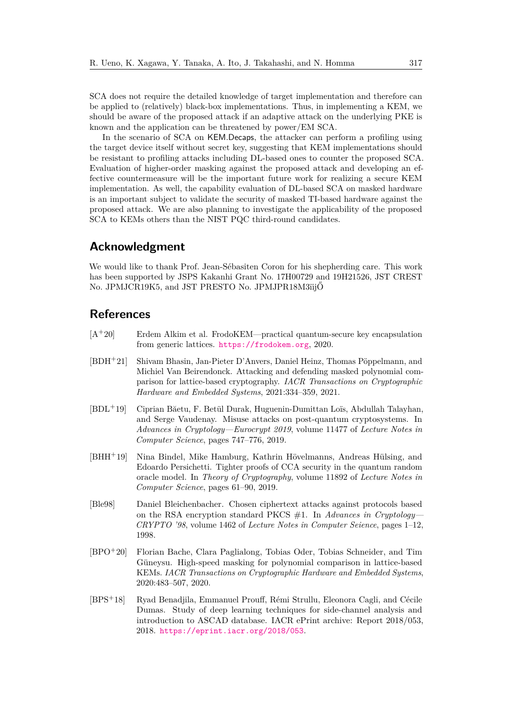SCA does not require the detailed knowledge of target implementation and therefore can be applied to (relatively) black-box implementations. Thus, in implementing a KEM, we should be aware of the proposed attack if an adaptive attack on the underlying PKE is known and the application can be threatened by power/EM SCA.

In the scenario of SCA on KEM*.*Decaps, the attacker can perform a profiling using the target device itself without secret key, suggesting that KEM implementations should be resistant to profiling attacks including DL-based ones to counter the proposed SCA. Evaluation of higher-order masking against the proposed attack and developing an effective countermeasure will be the important future work for realizing a secure KEM implementation. As well, the capability evaluation of DL-based SCA on masked hardware is an important subject to validate the security of masked TI-based hardware against the proposed attack. We are also planning to investigate the applicability of the proposed SCA to KEMs others than the NIST PQC third-round candidates.

# **Acknowledgment**

We would like to thank Prof. Jean-Sébasiten Coron for his shepherding care. This work has been supported by JSPS Kakanhi Grant No. 17H00729 and 19H21526, JST CREST No. JPMJCR19K5, and JST PRESTO No. JPMJPR18M3ïijŐ

# **References**

- <span id="page-21-5"></span>[A<sup>+</sup>20] Erdem Alkim et al. FrodoKEM—practical quantum-secure key encapsulation from generic lattices. <https://frodokem.org>, 2020.
- <span id="page-21-2"></span>[BDH<sup>+</sup>21] Shivam Bhasin, Jan-Pieter D'Anvers, Daniel Heinz, Thomas Pöppelmann, and Michiel Van Beirendonck. Attacking and defending masked polynomial comparison for lattice-based cryptography. *IACR Transactions on Cryptographic Hardware and Embedded Systems*, 2021:334–359, 2021.
- <span id="page-21-4"></span>[BDL<sup>+</sup>19] Ciprian Băetu, F. Betül Durak, Huguenin-Dumittan Loïs, Abdullah Talayhan, and Serge Vaudenay. Misuse attacks on post-quantum cryptosystems. In *Advances in Cryptology—Eurocrypt 2019*, volume 11477 of *Lecture Notes in Computer Science*, pages 747–776, 2019.
- <span id="page-21-0"></span>[BHH<sup>+</sup>19] Nina Bindel, Mike Hamburg, Kathrin Hövelmanns, Andreas Hülsing, and Edoardo Persichetti. Tighter proofs of CCA security in the quantum random oracle model. In *Theory of Cryptography*, volume 11892 of *Lecture Notes in Computer Science*, pages 61–90, 2019.
- <span id="page-21-1"></span>[Ble98] Daniel Bleichenbacher. Chosen ciphertext attacks against protocols based on the RSA encryption standard PKCS #1. In *Advances in Cryptology— CRYPTO '98*, volume 1462 of *Lecture Notes in Computer Seience*, pages 1–12, 1998.
- <span id="page-21-3"></span>[BPO<sup>+</sup>20] Florian Bache, Clara Paglialong, Tobias Oder, Tobias Schneider, and Tim Güneysu. High-speed masking for polynomial comparison in lattice-based KEMs. *IACR Transactions on Cryptographic Hardware and Embedded Systems*, 2020:483–507, 2020.
- <span id="page-21-6"></span>[BPS<sup>+</sup>18] Ryad Benadjila, Emmanuel Prouff, Rémi Strullu, Eleonora Cagli, and Cécile Dumas. Study of deep learning techniques for side-channel analysis and introduction to ASCAD database. IACR ePrint archive: Report 2018/053, 2018. <https://eprint.iacr.org/2018/053>.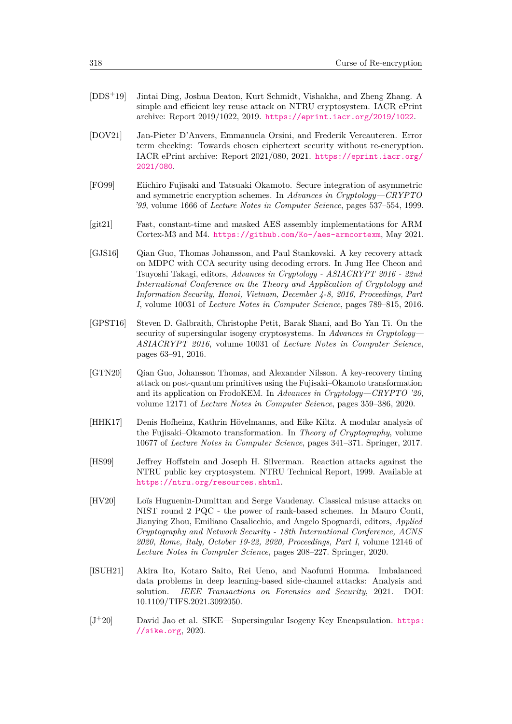- <span id="page-22-9"></span>[DDS<sup>+</sup>19] Jintai Ding, Joshua Deaton, Kurt Schmidt, Vishakha, and Zheng Zhang. A simple and efficient key reuse attack on NTRU cryptosystem. IACR ePrint archive: Report 2019/1022, 2019. <https://eprint.iacr.org/2019/1022>.
- <span id="page-22-5"></span>[DOV21] Jan-Pieter D'Anvers, Emmanuela Orsini, and Frederik Vercauteren. Error term checking: Towards chosen ciphertext security without re-encryption. IACR ePrint archive: Report 2021/080, 2021. [https://eprint.iacr.org/](https://eprint.iacr.org/2021/080) [2021/080](https://eprint.iacr.org/2021/080).
- <span id="page-22-0"></span>[FO99] Eiichiro Fujisaki and Tatsuaki Okamoto. Secure integration of asymmetric and symmetric encryption schemes. In *Advances in Cryptology—CRYPTO '99*, volume 1666 of *Lecture Notes in Computer Seience*, pages 537–554, 1999.
- <span id="page-22-4"></span>[git21] Fast, constant-time and masked AES assembly implementations for ARM Cortex-M3 and M4. <https://github.com/Ko-/aes-armcortexm>, May 2021.
- <span id="page-22-10"></span>[GJS16] Qian Guo, Thomas Johansson, and Paul Stankovski. A key recovery attack on MDPC with CCA security using decoding errors. In Jung Hee Cheon and Tsuyoshi Takagi, editors, *Advances in Cryptology - ASIACRYPT 2016 - 22nd International Conference on the Theory and Application of Cryptology and Information Security, Hanoi, Vietnam, December 4-8, 2016, Proceedings, Part I*, volume 10031 of *Lecture Notes in Computer Science*, pages 789–815, 2016.
- <span id="page-22-6"></span>[GPST16] Steven D. Galbraith, Christophe Petit, Barak Shani, and Bo Yan Ti. On the security of supersingular isogeny cryptosystems. In *Advances in Cryptology— ASIACRYPT 2016*, volume 10031 of *Lecture Notes in Computer Seience*, pages 63–91, 2016.
- <span id="page-22-2"></span>[GTN20] Qian Guo, Johansson Thomas, and Alexander Nilsson. A key-recovery timing attack on post-quantum primitives using the Fujisaki–Okamoto transformation and its application on FrodoKEM. In *Advances in Cryptology—CRYPTO '20*, volume 12171 of *Lecture Notes in Computer Seience*, pages 359–386, 2020.
- <span id="page-22-1"></span>[HHK17] Denis Hofheinz, Kathrin Hövelmanns, and Eike Kiltz. A modular analysis of the Fujisaki–Okamoto transformation. In *Theory of Cryptography*, volume 10677 of *Lecture Notes in Computer Science*, pages 341–371. Springer, 2017.
- <span id="page-22-8"></span>[HS99] Jeffrey Hoffstein and Joseph H. Silverman. Reaction attacks against the NTRU public key cryptosystem. NTRU Technical Report, 1999. Available at <https://ntru.org/resources.shtml>.
- <span id="page-22-7"></span>[HV20] Loïs Huguenin-Dumittan and Serge Vaudenay. Classical misuse attacks on NIST round 2 PQC - the power of rank-based schemes. In Mauro Conti, Jianying Zhou, Emiliano Casalicchio, and Angelo Spognardi, editors, *Applied Cryptography and Network Security - 18th International Conference, ACNS 2020, Rome, Italy, October 19-22, 2020, Proceedings, Part I*, volume 12146 of *Lecture Notes in Computer Science*, pages 208–227. Springer, 2020.
- <span id="page-22-3"></span>[ISUH21] Akira Ito, Kotaro Saito, Rei Ueno, and Naofumi Homma. Imbalanced data problems in deep learning-based side-channel attacks: Analysis and solution. *IEEE Transactions on Forensics and Security*, 2021. DOI: 10.1109/TIFS.2021.3092050.
- <span id="page-22-11"></span> $[J^+20]$  David Jao et al. SIKE—Supersingular Isogeny Key Encapsulation. [https:](https://sike.org) [//sike.org](https://sike.org), 2020.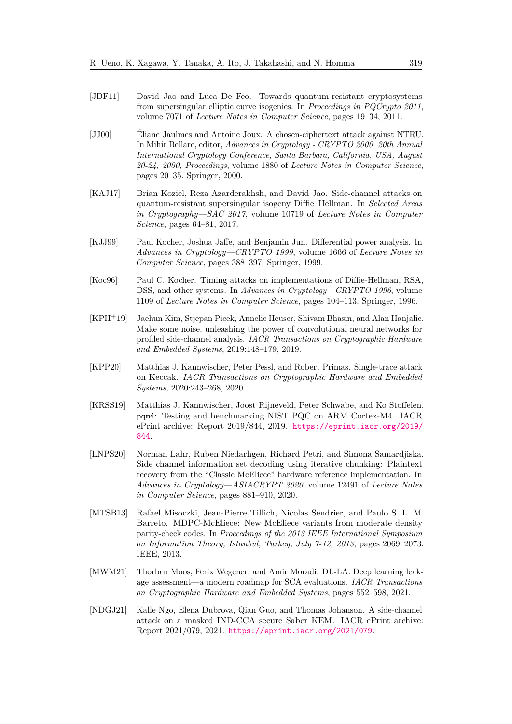- <span id="page-23-10"></span>[JDF11] David Jao and Luca De Feo. Towards quantum-resistant cryptosystems from supersingular elliptic curve isogenies. In *Proceedings in PQCrypto 2011*, volume 7071 of *Lecture Notes in Computer Science*, pages 19–34, 2011.
- <span id="page-23-8"></span>[JJ00] Éliane Jaulmes and Antoine Joux. A chosen-ciphertext attack against NTRU. In Mihir Bellare, editor, *Advances in Cryptology - CRYPTO 2000, 20th Annual International Cryptology Conference, Santa Barbara, California, USA, August 20-24, 2000, Proceedings*, volume 1880 of *Lecture Notes in Computer Science*, pages 20–35. Springer, 2000.
- <span id="page-23-5"></span>[KAJ17] Brian Koziel, Reza Azarderakhsh, and David Jao. Side-channel attacks on quantum-resistant supersingular isogeny Diffie–Hellman. In *Selected Areas in Cryptography—SAC 2017*, volume 10719 of *Lecture Notes in Computer Science*, pages 64–81, 2017.
- <span id="page-23-1"></span>[KJJ99] Paul Kocher, Joshua Jaffe, and Benjamin Jun. Differential power analysis. In *Advances in Cryptology—CRYPTO 1999*, volume 1666 of *Lecture Notes in Computer Science*, pages 388–397. Springer, 1999.
- <span id="page-23-0"></span>[Koc96] Paul C. Kocher. Timing attacks on implementations of Diffie-Hellman, RSA, DSS, and other systems. In *Advances in Cryptology—CRYPTO 1996*, volume 1109 of *Lecture Notes in Computer Science*, pages 104–113. Springer, 1996.
- <span id="page-23-11"></span>[KPH<sup>+</sup>19] Jaehun Kim, Stjepan Picek, Annelie Heuser, Shivam Bhasin, and Alan Hanjalic. Make some noise. unleashing the power of convolutional neural networks for profiled side-channel analysis. *IACR Transactions on Cryptographic Hardware and Embedded Systems*, 2019:148–179, 2019.
- <span id="page-23-6"></span>[KPP20] Matthias J. Kannwischer, Peter Pessl, and Robert Primas. Single-trace attack on Keccak. *IACR Transactions on Cryptographic Hardware and Embedded Systems*, 2020:243–268, 2020.
- <span id="page-23-3"></span>[KRSS19] Matthias J. Kannwischer, Joost Rijneveld, Peter Schwabe, and Ko Stoffelen. pqm4: Testing and benchmarking NIST PQC on ARM Cortex-M4. IACR ePrint archive: Report 2019/844, 2019. [https://eprint.iacr.org/2019/](https://eprint.iacr.org/2019/844) [844](https://eprint.iacr.org/2019/844).
- <span id="page-23-4"></span>[LNPS20] Norman Lahr, Ruben Niedarhgen, Richard Petri, and Simona Samardjiska. Side channel information set decoding using iterative chunking: Plaintext recovery from the "Classic McEliece" hardware reference implementation. In *Advances in Cryptology—ASIACRYPT 2020*, volume 12491 of *Lecture Notes in Computer Seience*, pages 881–910, 2020.
- <span id="page-23-9"></span>[MTSB13] Rafael Misoczki, Jean-Pierre Tillich, Nicolas Sendrier, and Paulo S. L. M. Barreto. MDPC-McEliece: New McEliece variants from moderate density parity-check codes. In *Proceedings of the 2013 IEEE International Symposium on Information Theory, Istanbul, Turkey, July 7-12, 2013*, pages 2069–2073. IEEE, 2013.
- <span id="page-23-7"></span>[MWM21] Thorben Moos, Ferix Wegener, and Amir Moradi. DL-LA: Deep learning leakage assessment—a modern roadmap for SCA evaluations. *IACR Transactions on Cryptographic Hardware and Embedded Systems*, pages 552–598, 2021.
- <span id="page-23-2"></span>[NDGJ21] Kalle Ngo, Elena Dubrova, Qian Guo, and Thomas Johanson. A side-channel attack on a masked IND-CCA secure Saber KEM. IACR ePrint archive: Report 2021/079, 2021. <https://eprint.iacr.org/2021/079>.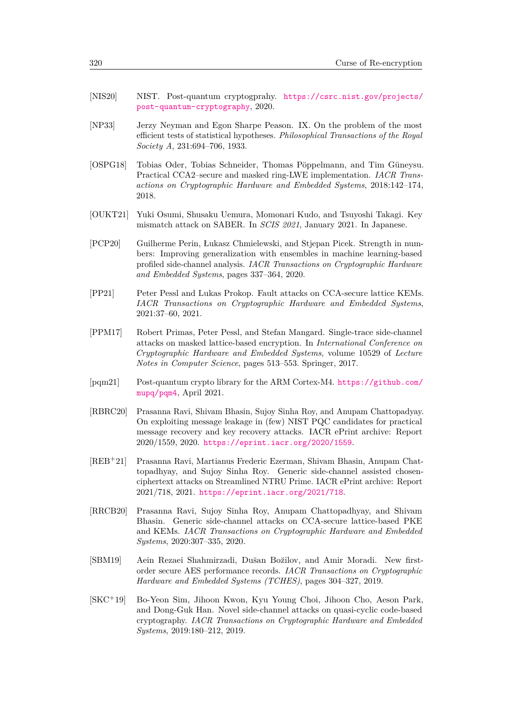- <span id="page-24-0"></span>[NIS20] NIST. Post-quantum cryptogprahy. [https://csrc.nist.gov/projects/](https://csrc.nist.gov/projects/post-quantum-cryptography) [post-quantum-cryptography](https://csrc.nist.gov/projects/post-quantum-cryptography), 2020.
- <span id="page-24-12"></span>[NP33] Jerzy Neyman and Egon Sharpe Peason. IX. On the problem of the most efficient tests of statistical hypotheses. *Philosophical Transactions of the Royal Society A*, 231:694–706, 1933.
- <span id="page-24-7"></span>[OSPG18] Tobias Oder, Tobias Schneider, Thomas Pöppelmann, and Tim Güneysu. Practical CCA2–secure and masked ring-LWE implementation. *IACR Transactions on Cryptographic Hardware and Embedded Systems*, 2018:142–174, 2018.
- <span id="page-24-9"></span>[OUKT21] Yuki Osumi, Shusaku Uemura, Momonari Kudo, and Tsuyoshi Takagi. Key mismatch attack on SABER. In *SCIS 2021*, January 2021. In Japanese.
- <span id="page-24-11"></span>[PCP20] Guilherme Perin, Łukasz Chmielewski, and Stjepan Picek. Strength in numbers: Improving generalization with ensembles in machine learning-based profiled side-channel analysis. *IACR Transactions on Cryptographic Hardware and Embedded Systems*, pages 337–364, 2020.
- <span id="page-24-3"></span>[PP21] Peter Pessl and Lukas Prokop. Fault attacks on CCA-secure lattice KEMs. *IACR Transactions on Cryptographic Hardware and Embedded Systems*, 2021:37–60, 2021.
- <span id="page-24-1"></span>[PPM17] Robert Primas, Peter Pessl, and Stefan Mangard. Single-trace side-channel attacks on masked lattice-based encryption. In *International Conference on Cryptographic Hardware and Embedded Systems*, volume 10529 of *Lecture Notes in Computer Science*, pages 513–553. Springer, 2017.
- <span id="page-24-6"></span>[pqm21] Post-quantum crypto library for the ARM Cortex-M4. [https://github.com/](https://github.com/mupq/pqm4) [mupq/pqm4](https://github.com/mupq/pqm4), April 2021.
- <span id="page-24-5"></span>[RBRC20] Prasanna Ravi, Shivam Bhasin, Sujoy Sinha Roy, and Anupam Chattopadyay. On exploiting message leakage in (few) NIST PQC candidates for practical message recovery and key recovery attacks. IACR ePrint archive: Report 2020/1559, 2020. <https://eprint.iacr.org/2020/1559>.
- <span id="page-24-4"></span>[REB<sup>+</sup>21] Prasanna Ravi, Martianus Frederic Ezerman, Shivam Bhasin, Anupam Chattopadhyay, and Sujoy Sinha Roy. Generic side-channel assisted chosenciphertext attacks on Streamlined NTRU Prime. IACR ePrint archive: Report 2021/718, 2021. <https://eprint.iacr.org/2021/718>.
- <span id="page-24-2"></span>[RRCB20] Prasanna Ravi, Sujoy Sinha Roy, Anupam Chattopadhyay, and Shivam Bhasin. Generic side-channel attacks on CCA-secure lattice-based PKE and KEMs. *IACR Transactions on Cryptographic Hardware and Embedded Systems*, 2020:307–335, 2020.
- <span id="page-24-10"></span>[SBM19] Aein Rezaei Shahmirzadi, Du˘san Bo˘zilov, and Amir Moradi. New firstorder secure AES performance records. *IACR Transactions on Cryptographic Hardware and Embedded Systems (TCHES)*, pages 304–327, 2019.
- <span id="page-24-8"></span>[SKC<sup>+</sup>19] Bo-Yeon Sim, Jihoon Kwon, Kyu Young Choi, Jihoon Cho, Aeson Park, and Dong-Guk Han. Novel side-channel attacks on quasi-cyclic code-based cryptography. *IACR Transactions on Cryptographic Hardware and Embedded Systems*, 2019:180–212, 2019.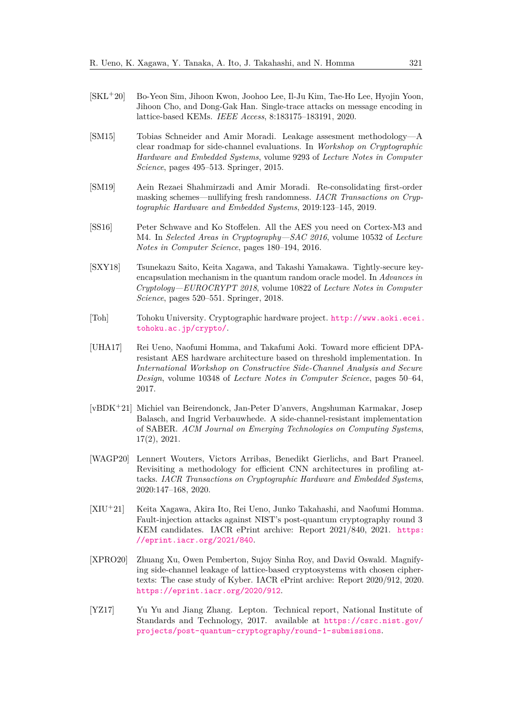- <span id="page-25-2"></span>[SKL<sup>+</sup>20] Bo-Yeon Sim, Jihoon Kwon, Joohoo Lee, Il-Ju Kim, Tae-Ho Lee, Hyojin Yoon, Jihoon Cho, and Dong-Gak Han. Single-trace attacks on message encoding in lattice-based KEMs. *IEEE Access*, 8:183175–183191, 2020.
- <span id="page-25-6"></span>[SM15] Tobias Schneider and Amir Moradi. Leakage assesment methodology—A clear roadmap for side-channel evaluations. In *Workshop on Cryptographic Hardware and Embedded Systems*, volume 9293 of *Lecture Notes in Computer Science*, pages 495–513. Springer, 2015.
- <span id="page-25-10"></span>[SM19] Aein Rezaei Shahmirzadi and Amir Moradi. Re-consolidating first-order masking schemes—nullifying fresh randomness. *IACR Transactions on Cryptographic Hardware and Embedded Systems*, 2019:123–145, 2019.
- <span id="page-25-4"></span>[SS16] Peter Schwave and Ko Stoffelen. All the AES you need on Cortex-M3 and M4. In *Selected Areas in Cryptography—SAC 2016*, volume 10532 of *Lecture Notes in Computer Science*, pages 180–194, 2016.
- <span id="page-25-0"></span>[SXY18] Tsunekazu Saito, Keita Xagawa, and Takashi Yamakawa. Tightly-secure keyencapsulation mechanism in the quantum random oracle model. In *Advances in Cryptology—EUROCRYPT 2018*, volume 10822 of *Lecture Notes in Computer Science*, pages 520–551. Springer, 2018.
- <span id="page-25-3"></span>[Toh] Tohoku University. Cryptographic hardware project. [http://www.aoki.ecei.](http://www.aoki.ecei.tohoku.ac.jp/crypto/) [tohoku.ac.jp/crypto/](http://www.aoki.ecei.tohoku.ac.jp/crypto/).
- <span id="page-25-5"></span>[UHA17] Rei Ueno, Naofumi Homma, and Takafumi Aoki. Toward more efficient DPAresistant AES hardware architecture based on threshold implementation. In *International Workshop on Constructive Side-Channel Analysis and Secure Design*, volume 10348 of *Lecture Notes in Computer Science*, pages 50–64, 2017.
- <span id="page-25-7"></span>[vBDK<sup>+</sup>21] Michiel van Beirendonck, Jan-Peter D'anvers, Angshuman Karmakar, Josep Balasch, and Ingrid Verbauwhede. A side-channel-resistant implementation of SABER. *ACM Journal on Emerging Technologies on Computing Systems*, 17(2), 2021.
- <span id="page-25-11"></span>[WAGP20] Lennert Wouters, Victors Arribas, Benedikt Gierlichs, and Bart Praneel. Revisiting a methodology for efficient CNN architectures in profiling attacks. *IACR Transactions on Cryptographic Hardware and Embedded Systems*, 2020:147–168, 2020.
- <span id="page-25-8"></span>[XIU<sup>+</sup>21] Keita Xagawa, Akira Ito, Rei Ueno, Junko Takahashi, and Naofumi Homma. Fault-injection attacks against NIST's post-quantum cryptography round 3 KEM candidates. IACR ePrint archive: Report 2021/840, 2021. [https:](https://eprint.iacr.org/2021/840) [//eprint.iacr.org/2021/840](https://eprint.iacr.org/2021/840).
- <span id="page-25-1"></span>[XPRO20] Zhuang Xu, Owen Pemberton, Sujoy Sinha Roy, and David Oswald. Magnifying side-channel leakage of lattice-based cryptosystems with chosen ciphertexts: The case study of Kyber. IACR ePrint archive: Report 2020/912, 2020. <https://eprint.iacr.org/2020/912>.
- <span id="page-25-9"></span>[YZ17] Yu Yu and Jiang Zhang. Lepton. Technical report, National Institute of Standards and Technology, 2017. available at [https://csrc.nist.gov/](https://csrc.nist.gov/projects/post-quantum-cryptography/round-1-submissions) [projects/post-quantum-cryptography/round-1-submissions](https://csrc.nist.gov/projects/post-quantum-cryptography/round-1-submissions).